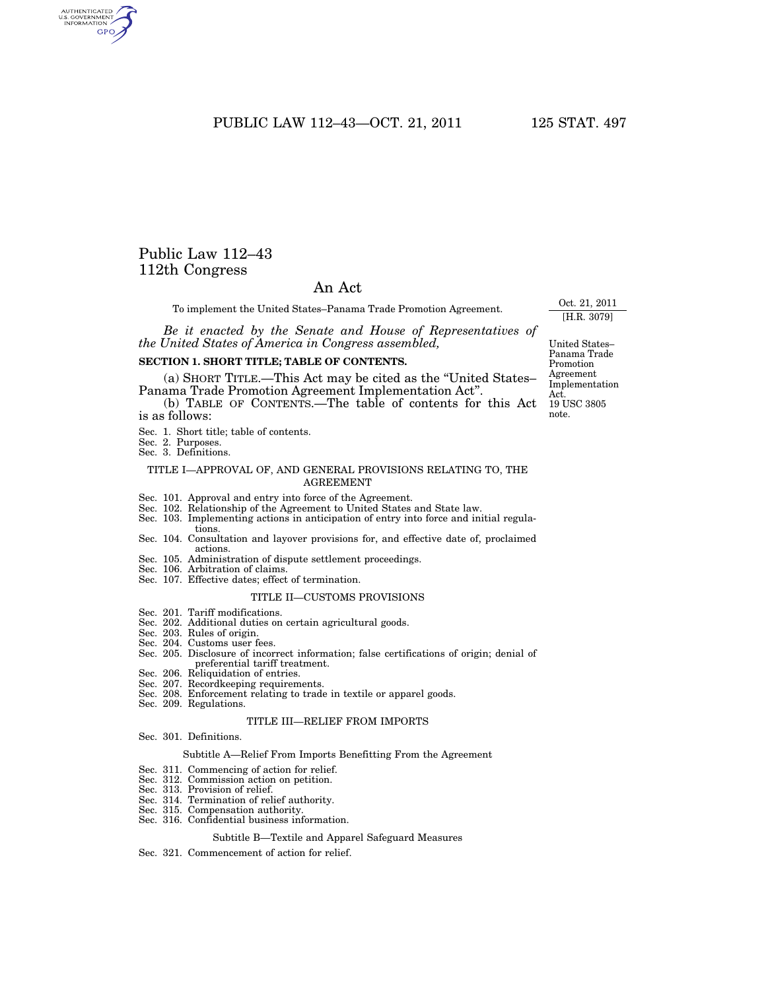PUBLIC LAW 112-43-OCT. 21, 2011 125 STAT. 497

# Public Law 112–43 112th Congress

AUTHENTICATED<br>U.S. GOVERNMENT<br>INFORMATION **GPO** 

### An Act

To implement the United States–Panama Trade Promotion Agreement.

*Be it enacted by the Senate and House of Representatives of the United States of America in Congress assembled,* 

#### **SECTION 1. SHORT TITLE; TABLE OF CONTENTS.**

(a) SHORT TITLE.—This Act may be cited as the ''United States– Panama Trade Promotion Agreement Implementation Act''.

(b) TABLE OF CONTENTS.—The table of contents for this Act is as follows:

- Sec. 1. Short title; table of contents.
- Sec. 2. Purposes.

Sec. 3. Definitions.

#### TITLE I—APPROVAL OF, AND GENERAL PROVISIONS RELATING TO, THE AGREEMENT

- Sec. 101. Approval and entry into force of the Agreement.
- Sec. 102. Relationship of the Agreement to United States and State law.
- Sec. 103. Implementing actions in anticipation of entry into force and initial regulations.
- Sec. 104. Consultation and layover provisions for, and effective date of, proclaimed actions.
- Sec. 105. Administration of dispute settlement proceedings.
- Sec. 106. Arbitration of claims.
- Sec. 107. Effective dates; effect of termination.

#### TITLE II—CUSTOMS PROVISIONS

#### Sec. 201. Tariff modifications.

- Sec. 202. Additional duties on certain agricultural goods.
- Sec. 203. Rules of origin.
- Sec. 204. Customs user fees.
- Sec. 205. Disclosure of incorrect information; false certifications of origin; denial of preferential tariff treatment.
- Sec. 206. Reliquidation of entries.
- Sec. 207. Recordkeeping requirements.
- Sec. 208. Enforcement relating to trade in textile or apparel goods.
- Sec. 209. Regulations.

#### TITLE III—RELIEF FROM IMPORTS

#### Sec. 301. Definitions.

#### Subtitle A—Relief From Imports Benefitting From the Agreement

- Sec. 311. Commencing of action for relief.
- Sec. 312. Commission action on petition.
- Sec. 313. Provision of relief.
- Sec. 314. Termination of relief authority.
- Sec. 315. Compensation authority.
- Sec. 316. Confidential business information.

#### Subtitle B—Textile and Apparel Safeguard Measures

Sec. 321. Commencement of action for relief.

United States– Panama Trade Promotion Agreement Implementation Act. 19 USC 3805 note.

Oct. 21, 2011 [H.R. 3079]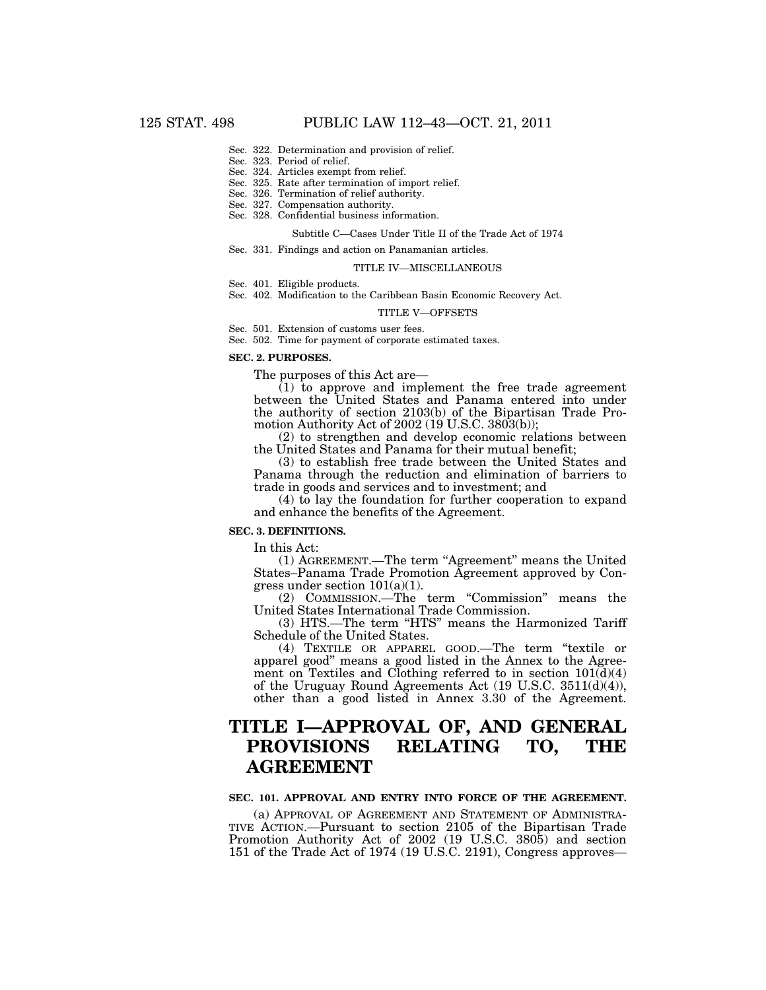- Sec. 322. Determination and provision of relief.
- Sec. 323. Period of relief.
- Sec. 324. Articles exempt from relief. Sec. 325. Rate after termination of import relief.
- Sec. 326. Termination of relief authority.
- Sec. 327. Compensation authority.
- Sec. 328. Confidential business information.

#### Subtitle C—Cases Under Title II of the Trade Act of 1974

Sec. 331. Findings and action on Panamanian articles.

#### TITLE IV—MISCELLANEOUS

- Sec. 401. Eligible products.
- Sec. 402. Modification to the Caribbean Basin Economic Recovery Act.

#### TITLE V—OFFSETS

- Sec. 501. Extension of customs user fees.
- Sec. 502. Time for payment of corporate estimated taxes.

#### **SEC. 2. PURPOSES.**

The purposes of this Act are—

(1) to approve and implement the free trade agreement between the United States and Panama entered into under the authority of section 2103(b) of the Bipartisan Trade Promotion Authority Act of 2002 (19 U.S.C. 3803(b));

(2) to strengthen and develop economic relations between the United States and Panama for their mutual benefit;

(3) to establish free trade between the United States and Panama through the reduction and elimination of barriers to trade in goods and services and to investment; and

(4) to lay the foundation for further cooperation to expand and enhance the benefits of the Agreement.

#### **SEC. 3. DEFINITIONS.**

In this Act:

(1) AGREEMENT.—The term "Agreement" means the United States–Panama Trade Promotion Agreement approved by Congress under section 101(a)(1).

(2) COMMISSION.—The term ''Commission'' means the United States International Trade Commission.

(3) HTS.—The term ''HTS'' means the Harmonized Tariff Schedule of the United States.

(4) TEXTILE OR APPAREL GOOD.—The term ''textile or apparel good'' means a good listed in the Annex to the Agreement on Textiles and Clothing referred to in section  $101(\bar{d})(4)$ of the Uruguay Round Agreements Act (19 U.S.C. 3511(d)(4)), other than a good listed in Annex 3.30 of the Agreement.

# **TITLE I—APPROVAL OF, AND GENERAL PROVISIONS RELATING TO, THE AGREEMENT**

#### **SEC. 101. APPROVAL AND ENTRY INTO FORCE OF THE AGREEMENT.**

(a) APPROVAL OF AGREEMENT AND STATEMENT OF ADMINISTRA-TIVE ACTION.—Pursuant to section 2105 of the Bipartisan Trade Promotion Authority Act of 2002 (19 U.S.C. 3805) and section 151 of the Trade Act of 1974 (19 U.S.C. 2191), Congress approves—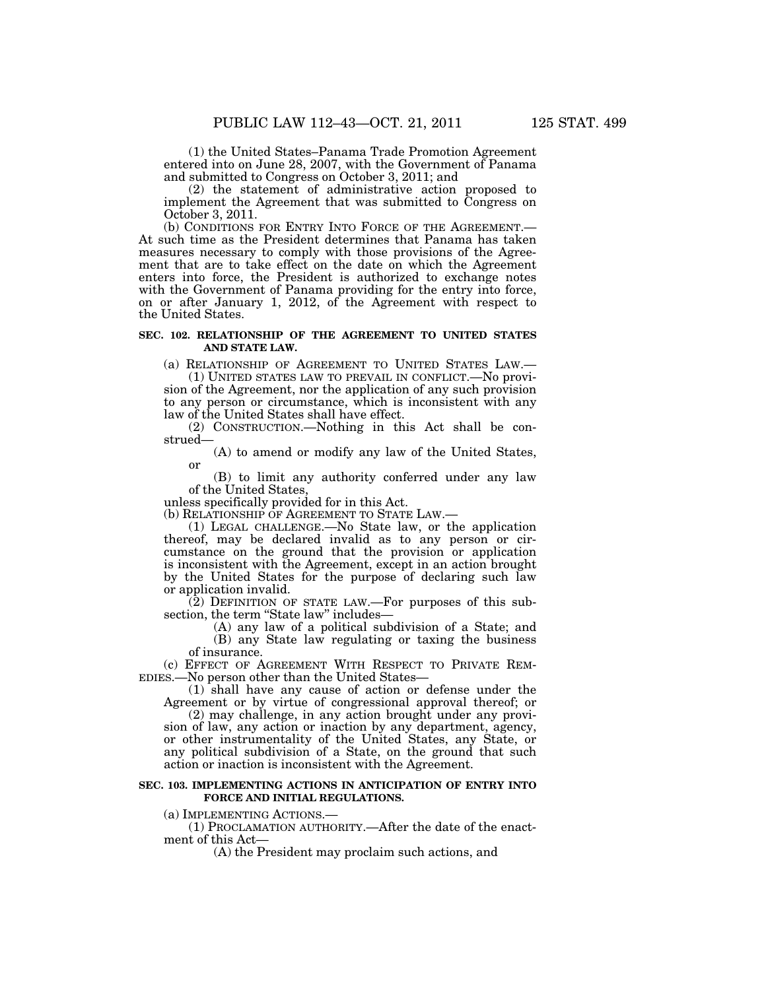(1) the United States–Panama Trade Promotion Agreement entered into on June 28, 2007, with the Government of Panama and submitted to Congress on October 3, 2011; and

(2) the statement of administrative action proposed to implement the Agreement that was submitted to Congress on October 3, 2011.<br>(b) CONDITIONS FOR ENTRY INTO FORCE OF THE AGREEMENT.—

At such time as the President determines that Panama has taken measures necessary to comply with those provisions of the Agreement that are to take effect on the date on which the Agreement enters into force, the President is authorized to exchange notes with the Government of Panama providing for the entry into force, on or after January 1, 2012, of the Agreement with respect to the United States.

#### **SEC. 102. RELATIONSHIP OF THE AGREEMENT TO UNITED STATES AND STATE LAW.**

(a) RELATIONSHIP OF AGREEMENT TO UNITED STATES LAW.—

(1) UNITED STATES LAW TO PREVAIL IN CONFLICT.—No provision of the Agreement, nor the application of any such provision to any person or circumstance, which is inconsistent with any law of the United States shall have effect.

(2) CONSTRUCTION.—Nothing in this Act shall be construed—

(A) to amend or modify any law of the United States, or

(B) to limit any authority conferred under any law of the United States,

unless specifically provided for in this Act.

(b) RELATIONSHIP OF AGREEMENT TO STATE LAW.—

(1) LEGAL CHALLENGE.—No State law, or the application thereof, may be declared invalid as to any person or circumstance on the ground that the provision or application is inconsistent with the Agreement, except in an action brought by the United States for the purpose of declaring such law or application invalid.

(2) DEFINITION OF STATE LAW.—For purposes of this subsection, the term "State law" includes-

(A) any law of a political subdivision of a State; and (B) any State law regulating or taxing the business of insurance.

(c) EFFECT OF AGREEMENT WITH RESPECT TO PRIVATE REM-EDIES.—No person other than the United States—

(1) shall have any cause of action or defense under the Agreement or by virtue of congressional approval thereof; or

(2) may challenge, in any action brought under any provision of law, any action or inaction by any department, agency, or other instrumentality of the United States, any State, or any political subdivision of a State, on the ground that such action or inaction is inconsistent with the Agreement.

#### **SEC. 103. IMPLEMENTING ACTIONS IN ANTICIPATION OF ENTRY INTO FORCE AND INITIAL REGULATIONS.**

(a) IMPLEMENTING ACTIONS.—

(1) PROCLAMATION AUTHORITY.—After the date of the enactment of this Act—

(A) the President may proclaim such actions, and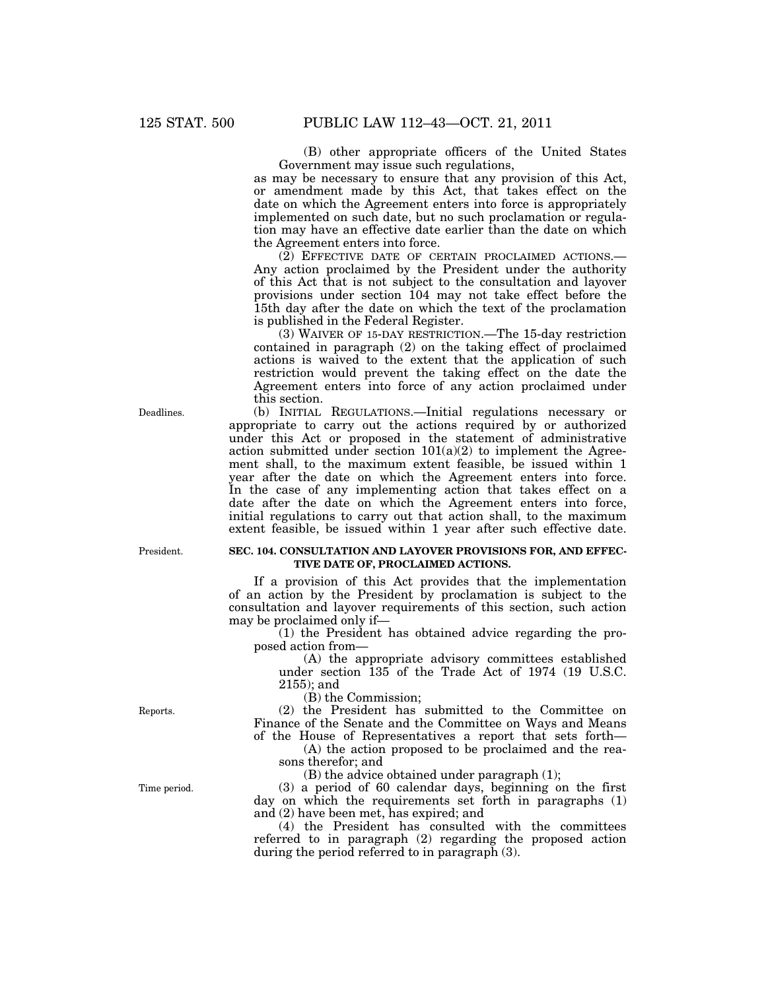(B) other appropriate officers of the United States Government may issue such regulations,

as may be necessary to ensure that any provision of this Act, or amendment made by this Act, that takes effect on the date on which the Agreement enters into force is appropriately implemented on such date, but no such proclamation or regulation may have an effective date earlier than the date on which the Agreement enters into force.

(2) EFFECTIVE DATE OF CERTAIN PROCLAIMED ACTIONS.— Any action proclaimed by the President under the authority of this Act that is not subject to the consultation and layover provisions under section 104 may not take effect before the 15th day after the date on which the text of the proclamation is published in the Federal Register.

(3) WAIVER OF 15-DAY RESTRICTION.—The 15-day restriction contained in paragraph (2) on the taking effect of proclaimed actions is waived to the extent that the application of such restriction would prevent the taking effect on the date the Agreement enters into force of any action proclaimed under this section.

(b) INITIAL REGULATIONS.—Initial regulations necessary or appropriate to carry out the actions required by or authorized under this Act or proposed in the statement of administrative action submitted under section  $101(a)(2)$  to implement the Agreement shall, to the maximum extent feasible, be issued within 1 year after the date on which the Agreement enters into force. In the case of any implementing action that takes effect on a date after the date on which the Agreement enters into force, initial regulations to carry out that action shall, to the maximum extent feasible, be issued within 1 year after such effective date.

#### President.

#### **SEC. 104. CONSULTATION AND LAYOVER PROVISIONS FOR, AND EFFEC-TIVE DATE OF, PROCLAIMED ACTIONS.**

If a provision of this Act provides that the implementation of an action by the President by proclamation is subject to the consultation and layover requirements of this section, such action may be proclaimed only if—

(1) the President has obtained advice regarding the proposed action from—

(A) the appropriate advisory committees established under section 135 of the Trade Act of 1974 (19 U.S.C. 2155); and

(B) the Commission;

(2) the President has submitted to the Committee on Finance of the Senate and the Committee on Ways and Means of the House of Representatives a report that sets forth—

(A) the action proposed to be proclaimed and the reasons therefor; and

(B) the advice obtained under paragraph (1);

(3) a period of 60 calendar days, beginning on the first day on which the requirements set forth in paragraphs (1) and (2) have been met, has expired; and

(4) the President has consulted with the committees referred to in paragraph (2) regarding the proposed action during the period referred to in paragraph (3).

Reports.

Time period.

Deadlines.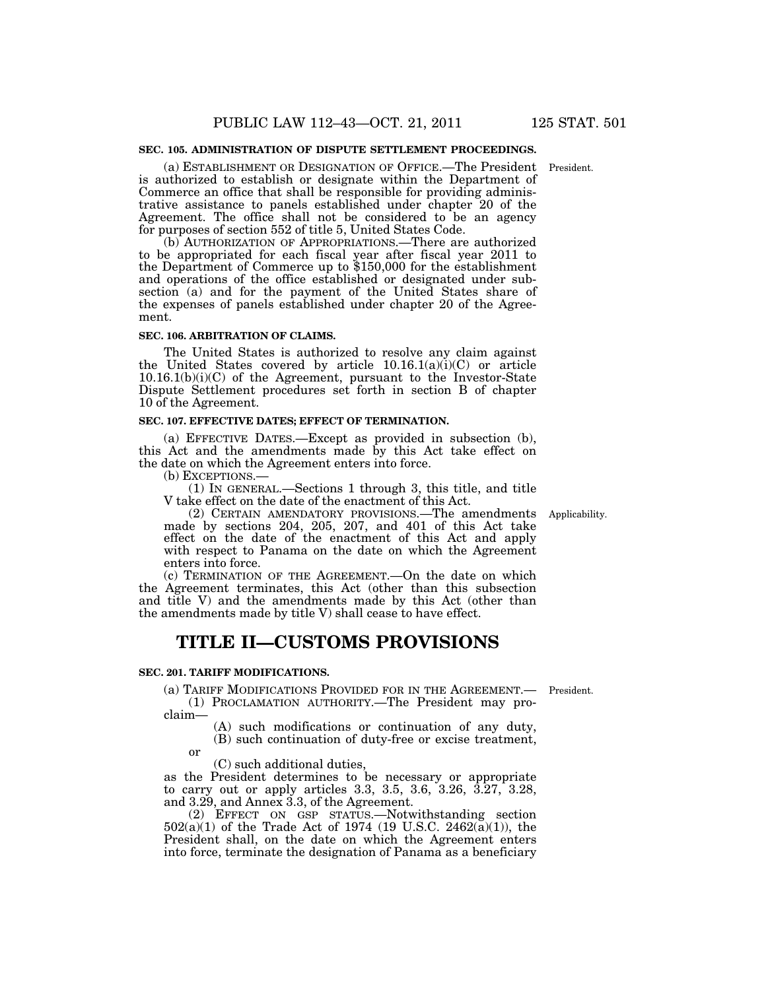#### **SEC. 105. ADMINISTRATION OF DISPUTE SETTLEMENT PROCEEDINGS.**

(a) ESTABLISHMENT OR DESIGNATION OF OFFICE.—The President President. is authorized to establish or designate within the Department of Commerce an office that shall be responsible for providing administrative assistance to panels established under chapter 20 of the Agreement. The office shall not be considered to be an agency for purposes of section 552 of title 5, United States Code.

(b) AUTHORIZATION OF APPROPRIATIONS.—There are authorized to be appropriated for each fiscal year after fiscal year 2011 to the Department of Commerce up to \$150,000 for the establishment and operations of the office established or designated under subsection (a) and for the payment of the United States share of the expenses of panels established under chapter 20 of the Agreement.

#### **SEC. 106. ARBITRATION OF CLAIMS.**

The United States is authorized to resolve any claim against the United States covered by article  $10.16.1(a)(i)(C)$  or article 10.16.1(b)(i)(C) of the Agreement, pursuant to the Investor-State Dispute Settlement procedures set forth in section B of chapter 10 of the Agreement.

#### **SEC. 107. EFFECTIVE DATES; EFFECT OF TERMINATION.**

(a) EFFECTIVE DATES.—Except as provided in subsection (b), this Act and the amendments made by this Act take effect on the date on which the Agreement enters into force.

(b) EXCEPTIONS.—

(1) IN GENERAL.—Sections 1 through 3, this title, and title V take effect on the date of the enactment of this Act.

(2) CERTAIN AMENDATORY PROVISIONS.—The amendments made by sections 204, 205, 207, and 401 of this Act take effect on the date of the enactment of this Act and apply with respect to Panama on the date on which the Agreement enters into force.

(c) TERMINATION OF THE AGREEMENT.—On the date on which the Agreement terminates, this Act (other than this subsection and title V) and the amendments made by this Act (other than the amendments made by title V) shall cease to have effect.

# **TITLE II—CUSTOMS PROVISIONS**

#### **SEC. 201. TARIFF MODIFICATIONS.**

(a) TARIFF MODIFICATIONS PROVIDED FOR IN THE AGREEMENT.— President.

(1) PROCLAMATION AUTHORITY.—The President may proclaim—

(A) such modifications or continuation of any duty, (B) such continuation of duty-free or excise treatment,

or

(C) such additional duties,

as the President determines to be necessary or appropriate to carry out or apply articles 3.3, 3.5, 3.6, 3.26, 3.27, 3.28, and 3.29, and Annex 3.3, of the Agreement.

(2) EFFECT ON GSP STATUS.—Notwithstanding section 502(a)(1) of the Trade Act of 1974 (19 U.S.C. 2462(a)(1)), the President shall, on the date on which the Agreement enters into force, terminate the designation of Panama as a beneficiary

Applicability.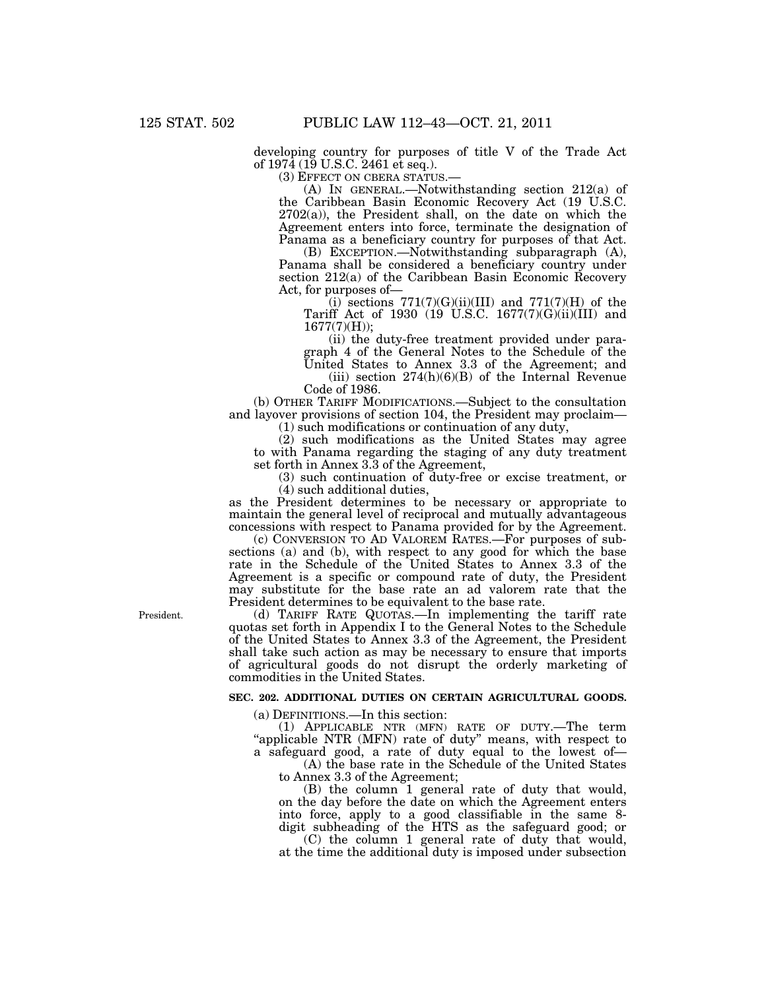developing country for purposes of title V of the Trade Act of 1974 (19 U.S.C. 2461 et seq.).

(3) EFFECT ON CBERA STATUS.—

(A) IN GENERAL.—Notwithstanding section 212(a) of the Caribbean Basin Economic Recovery Act (19 U.S.C.  $2702(a)$ , the President shall, on the date on which the Agreement enters into force, terminate the designation of Panama as a beneficiary country for purposes of that Act.

(B) EXCEPTION.—Notwithstanding subparagraph (A), Panama shall be considered a beneficiary country under section 212(a) of the Caribbean Basin Economic Recovery Act, for purposes of—

(i) sections  $771(7)(G)(ii)(III)$  and  $771(7)(H)$  of the Tariff Act of 1930 (19 U.S.C. 1677(7)(G)(ii)(III) and 1677(7)(H));

(ii) the duty-free treatment provided under paragraph 4 of the General Notes to the Schedule of the United States to Annex 3.3 of the Agreement; and (iii) section  $274(h)(6)(B)$  of the Internal Revenue

Code of 1986. (b) OTHER TARIFF MODIFICATIONS.—Subject to the consultation and layover provisions of section 104, the President may proclaim—

(1) such modifications or continuation of any duty,

(2) such modifications as the United States may agree to with Panama regarding the staging of any duty treatment set forth in Annex 3.3 of the Agreement,

(3) such continuation of duty-free or excise treatment, or (4) such additional duties,

as the President determines to be necessary or appropriate to maintain the general level of reciprocal and mutually advantageous concessions with respect to Panama provided for by the Agreement.

(c) CONVERSION TO AD VALOREM RATES.—For purposes of subsections (a) and (b), with respect to any good for which the base rate in the Schedule of the United States to Annex 3.3 of the Agreement is a specific or compound rate of duty, the President may substitute for the base rate an ad valorem rate that the President determines to be equivalent to the base rate.

(d) TARIFF RATE QUOTAS.—In implementing the tariff rate quotas set forth in Appendix I to the General Notes to the Schedule of the United States to Annex 3.3 of the Agreement, the President shall take such action as may be necessary to ensure that imports of agricultural goods do not disrupt the orderly marketing of commodities in the United States.

#### **SEC. 202. ADDITIONAL DUTIES ON CERTAIN AGRICULTURAL GOODS.**

(a) DEFINITIONS.—In this section:

(1) APPLICABLE NTR (MFN) RATE OF DUTY.—The term "applicable NTR (MFN) rate of duty" means, with respect to a safeguard good, a rate of duty equal to the lowest of—

(A) the base rate in the Schedule of the United States to Annex 3.3 of the Agreement;

(B) the column 1 general rate of duty that would, on the day before the date on which the Agreement enters into force, apply to a good classifiable in the same 8 digit subheading of the HTS as the safeguard good; or

(C) the column 1 general rate of duty that would, at the time the additional duty is imposed under subsection

President.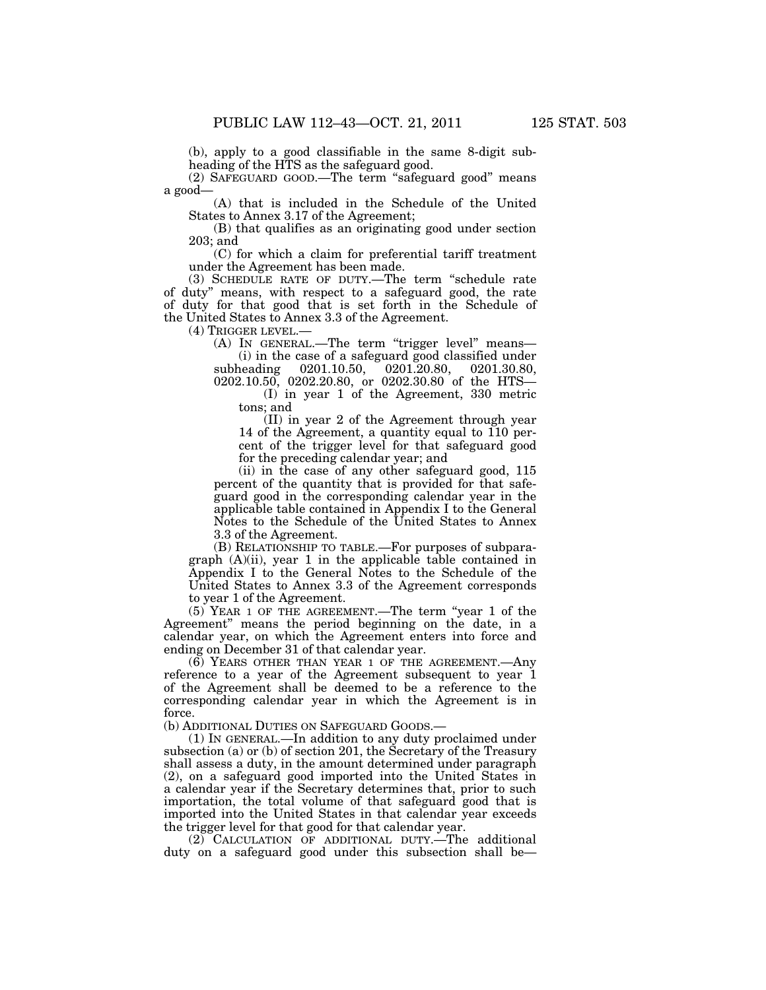(b), apply to a good classifiable in the same 8-digit subheading of the HTS as the safeguard good.

(2) SAFEGUARD GOOD.—The term ''safeguard good'' means a good—

(A) that is included in the Schedule of the United States to Annex 3.17 of the Agreement;

(B) that qualifies as an originating good under section 203; and

(C) for which a claim for preferential tariff treatment under the Agreement has been made.

(3) SCHEDULE RATE OF DUTY.—The term ''schedule rate of duty'' means, with respect to a safeguard good, the rate of duty for that good that is set forth in the Schedule of the United States to Annex 3.3 of the Agreement.

(4) TRIGGER LEVEL.—

(A) IN GENERAL.—The term ''trigger level'' means— (i) in the case of a safeguard good classified under

subheading 0201.10.50, 0201.20.80, 0201.30.80, 0202.10.50, 0202.20.80, or 0202.30.80 of the HTS—

(I) in year 1 of the Agreement, 330 metric tons; and

(II) in year 2 of the Agreement through year 14 of the Agreement, a quantity equal to 110 percent of the trigger level for that safeguard good for the preceding calendar year; and

(ii) in the case of any other safeguard good, 115 percent of the quantity that is provided for that safeguard good in the corresponding calendar year in the applicable table contained in Appendix I to the General Notes to the Schedule of the United States to Annex 3.3 of the Agreement.

(B) RELATIONSHIP TO TABLE.—For purposes of subparagraph (A)(ii), year 1 in the applicable table contained in Appendix I to the General Notes to the Schedule of the United States to Annex 3.3 of the Agreement corresponds to year 1 of the Agreement.

(5) YEAR 1 OF THE AGREEMENT.—The term ''year 1 of the Agreement'' means the period beginning on the date, in a calendar year, on which the Agreement enters into force and ending on December 31 of that calendar year.

(6) YEARS OTHER THAN YEAR 1 OF THE AGREEMENT.—Any reference to a year of the Agreement subsequent to year 1 of the Agreement shall be deemed to be a reference to the corresponding calendar year in which the Agreement is in force.

(b) ADDITIONAL DUTIES ON SAFEGUARD GOODS.—

(1) IN GENERAL.—In addition to any duty proclaimed under subsection (a) or (b) of section 201, the Secretary of the Treasury shall assess a duty, in the amount determined under paragraph (2), on a safeguard good imported into the United States in a calendar year if the Secretary determines that, prior to such importation, the total volume of that safeguard good that is imported into the United States in that calendar year exceeds the trigger level for that good for that calendar year.

(2) CALCULATION OF ADDITIONAL DUTY.—The additional duty on a safeguard good under this subsection shall be—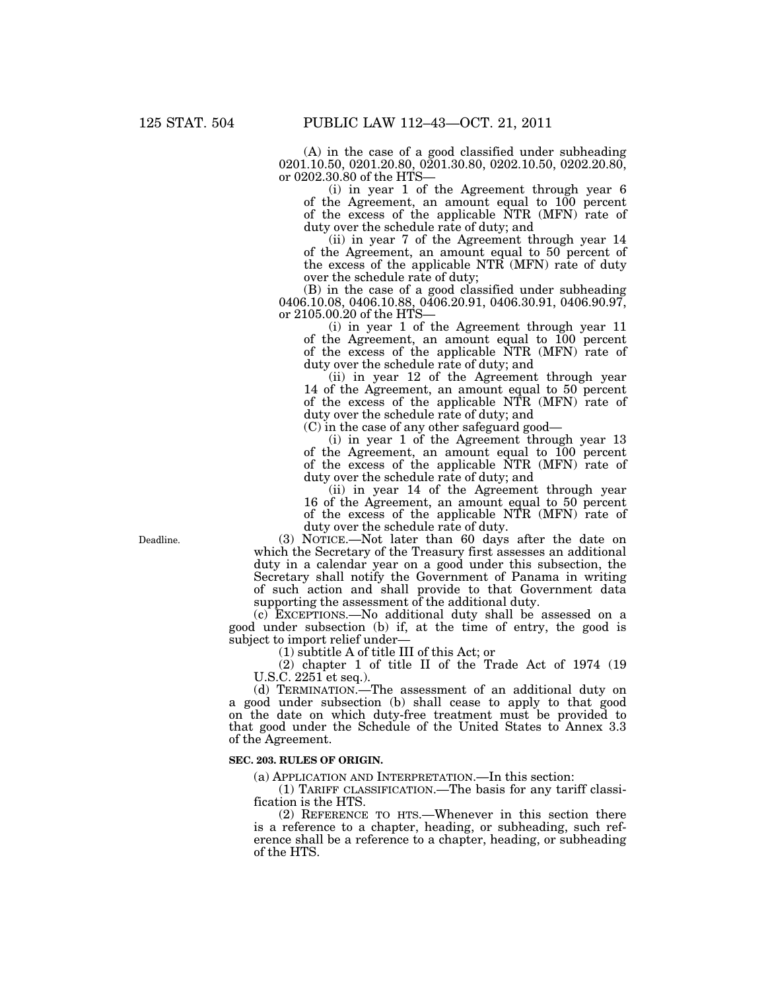(A) in the case of a good classified under subheading 0201.10.50, 0201.20.80, 0201.30.80, 0202.10.50, 0202.20.80, or 0202.30.80 of the HTS—

(i) in year 1 of the Agreement through year 6 of the Agreement, an amount equal to 100 percent of the excess of the applicable NTR (MFN) rate of duty over the schedule rate of duty; and

(ii) in year 7 of the Agreement through year 14 of the Agreement, an amount equal to 50 percent of the excess of the applicable NTR (MFN) rate of duty over the schedule rate of duty;

(B) in the case of a good classified under subheading 0406.10.08, 0406.10.88, 0406.20.91, 0406.30.91, 0406.90.97, or 2105.00.20 of the HTS—

(i) in year 1 of the Agreement through year 11 of the Agreement, an amount equal to 100 percent of the excess of the applicable NTR (MFN) rate of duty over the schedule rate of duty; and

(ii) in year 12 of the Agreement through year 14 of the Agreement, an amount equal to 50 percent of the excess of the applicable NTR (MFN) rate of duty over the schedule rate of duty; and

(C) in the case of any other safeguard good—

(i) in year 1 of the Agreement through year 13 of the Agreement, an amount equal to 100 percent of the excess of the applicable NTR (MFN) rate of duty over the schedule rate of duty; and

(ii) in year 14 of the Agreement through year 16 of the Agreement, an amount equal to 50 percent of the excess of the applicable NTR (MFN) rate of duty over the schedule rate of duty.

(3) NOTICE.—Not later than 60 days after the date on which the Secretary of the Treasury first assesses an additional duty in a calendar year on a good under this subsection, the Secretary shall notify the Government of Panama in writing of such action and shall provide to that Government data supporting the assessment of the additional duty.

(c) EXCEPTIONS.—No additional duty shall be assessed on a good under subsection (b) if, at the time of entry, the good is subject to import relief under—

(1) subtitle A of title III of this Act; or

(2) chapter 1 of title II of the Trade Act of 1974 (19 U.S.C. 2251 et seq.).

(d) TERMINATION.—The assessment of an additional duty on a good under subsection (b) shall cease to apply to that good on the date on which duty-free treatment must be provided to that good under the Schedule of the United States to Annex 3.3 of the Agreement.

#### **SEC. 203. RULES OF ORIGIN.**

(a) APPLICATION AND INTERPRETATION.—In this section:

(1) TARIFF CLASSIFICATION.—The basis for any tariff classification is the HTS.

(2) REFERENCE TO HTS.—Whenever in this section there is a reference to a chapter, heading, or subheading, such reference shall be a reference to a chapter, heading, or subheading of the HTS.

Deadline.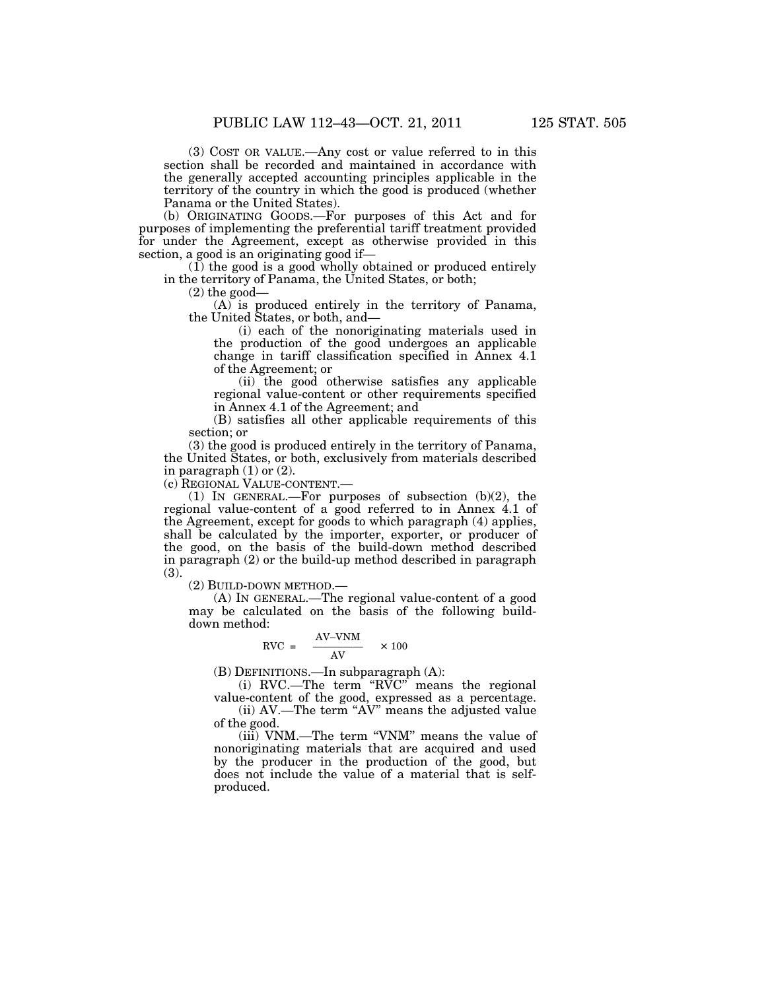(3) COST OR VALUE.—Any cost or value referred to in this section shall be recorded and maintained in accordance with the generally accepted accounting principles applicable in the territory of the country in which the good is produced (whether Panama or the United States).

(b) ORIGINATING GOODS.—For purposes of this Act and for purposes of implementing the preferential tariff treatment provided for under the Agreement, except as otherwise provided in this section, a good is an originating good if-

(1) the good is a good wholly obtained or produced entirely in the territory of Panama, the United States, or both;

(2) the good—

(A) is produced entirely in the territory of Panama, the United States, or both, and—

(i) each of the nonoriginating materials used in the production of the good undergoes an applicable change in tariff classification specified in Annex 4.1 of the Agreement; or

(ii) the good otherwise satisfies any applicable regional value-content or other requirements specified in Annex 4.1 of the Agreement; and

(B) satisfies all other applicable requirements of this section; or

(3) the good is produced entirely in the territory of Panama, the United States, or both, exclusively from materials described in paragraph  $(1)$  or  $(2)$ .

(c) REGIONAL VALUE-CONTENT.—

(1) IN GENERAL.—For purposes of subsection (b)(2), the regional value-content of a good referred to in Annex 4.1 of the Agreement, except for goods to which paragraph (4) applies, shall be calculated by the importer, exporter, or producer of the good, on the basis of the build-down method described in paragraph (2) or the build-up method described in paragraph (3).

(2) BUILD-DOWN METHOD.—

(A) IN GENERAL.—The regional value-content of a good may be calculated on the basis of the following builddown method:

$$
RVC = \frac{AV-VNM}{AV} \times 100
$$

(B) DEFINITIONS.—In subparagraph (A):

(i) RVC.—The term ''RVC'' means the regional value-content of the good, expressed as a percentage.

(ii) AV.—The term ''AV'' means the adjusted value of the good.

(iii) VNM.—The term ''VNM'' means the value of nonoriginating materials that are acquired and used by the producer in the production of the good, but does not include the value of a material that is selfproduced.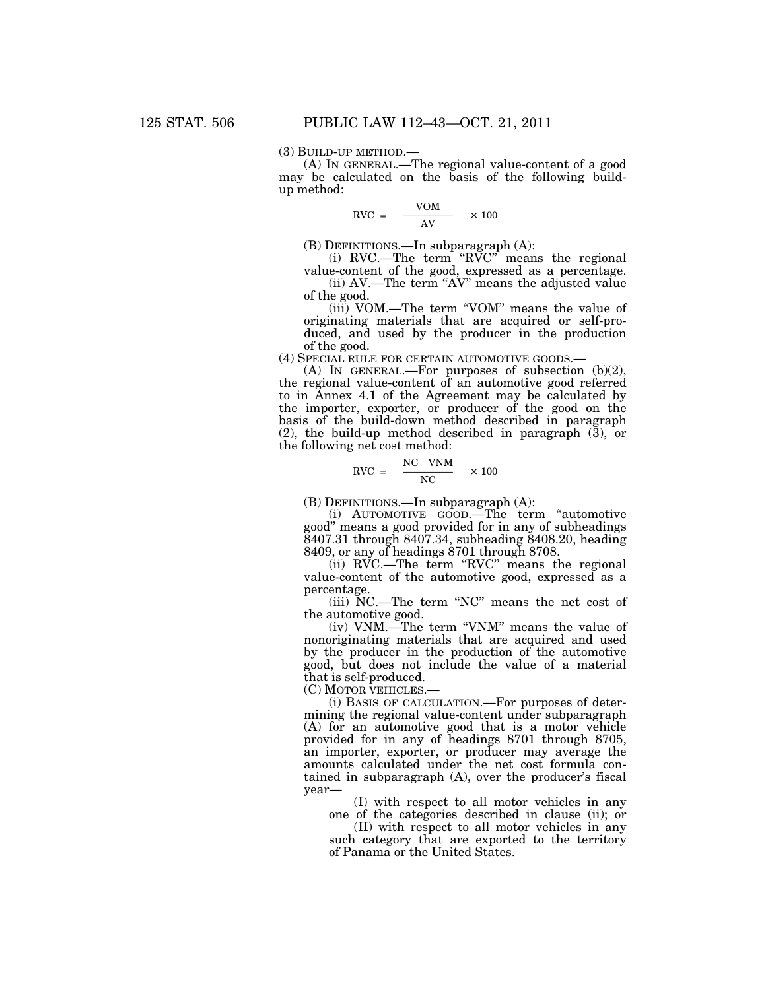(3) BUILD-UP METHOD.— (A) IN GENERAL.—The regional value-content of a good may be calculated on the basis of the following buildup method:

$$
RVC = \frac{VOM}{AV} \times 100
$$

(B) DEFINITIONS.—In subparagraph (A):

(i) RVC.—The term ''RVC'' means the regional value-content of the good, expressed as a percentage.

(ii) AV.—The term ''AV'' means the adjusted value of the good.

(iii) VOM.—The term ''VOM'' means the value of originating materials that are acquired or self-produced, and used by the producer in the production of the good.

(4) SPECIAL RULE FOR CERTAIN AUTOMOTIVE GOODS.—

(A) IN GENERAL.—For purposes of subsection (b)(2), the regional value-content of an automotive good referred to in Annex 4.1 of the Agreement may be calculated by the importer, exporter, or producer of the good on the basis of the build-down method described in paragraph (2), the build-up method described in paragraph  $(3)$ , or the following net cost method:

$$
RVC = \frac{NC - VNM}{NC} \times 100
$$

(B) DEFINITIONS.—In subparagraph (A):

(i) AUTOMOTIVE GOOD.—The term ''automotive good'' means a good provided for in any of subheadings 8407.31 through 8407.34, subheading 8408.20, heading 8409, or any of headings 8701 through 8708.

(ii) RVC.—The term "RVC" means the regional value-content of the automotive good, expressed as a percentage.

(iii) NC.—The term ''NC'' means the net cost of the automotive good.

(iv) VNM.—The term ''VNM'' means the value of nonoriginating materials that are acquired and used by the producer in the production of the automotive good, but does not include the value of a material that is self-produced.

(C) MOTOR VEHICLES.—

(i) BASIS OF CALCULATION.—For purposes of determining the regional value-content under subparagraph (A) for an automotive good that is a motor vehicle provided for in any of headings 8701 through 8705, an importer, exporter, or producer may average the amounts calculated under the net cost formula contained in subparagraph (A), over the producer's fiscal year—

(I) with respect to all motor vehicles in any one of the categories described in clause (ii); or

(II) with respect to all motor vehicles in any such category that are exported to the territory of Panama or the United States.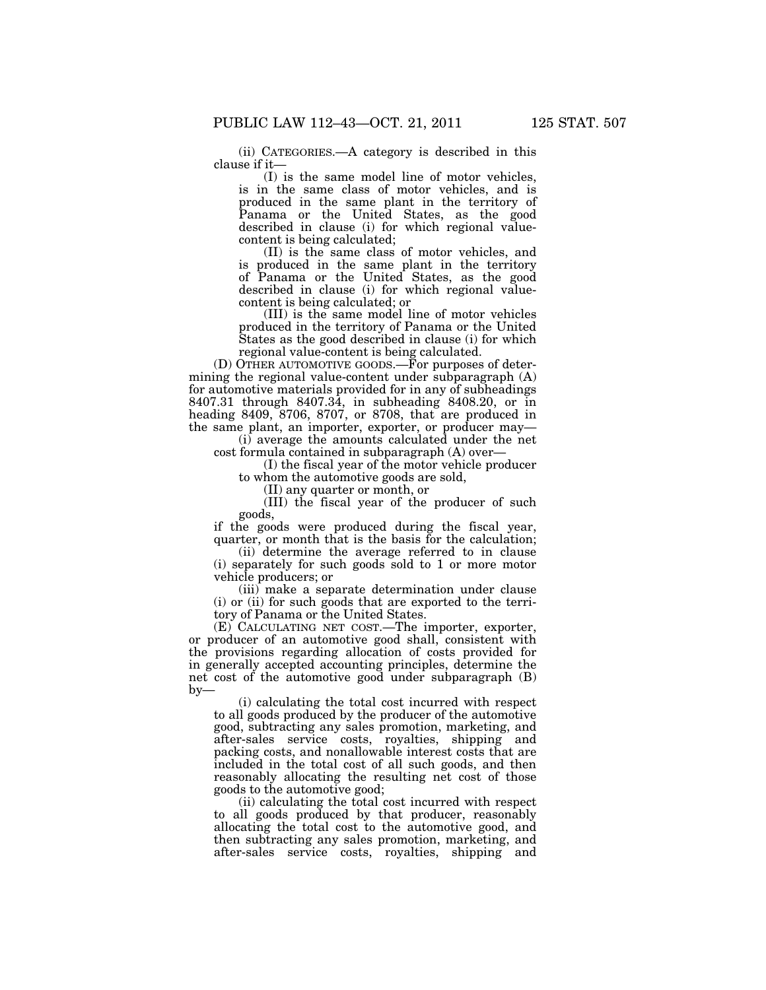(ii) CATEGORIES.—A category is described in this clause if it—

(I) is the same model line of motor vehicles, is in the same class of motor vehicles, and is produced in the same plant in the territory of Panama or the United States, as the good described in clause (i) for which regional valuecontent is being calculated;

(II) is the same class of motor vehicles, and is produced in the same plant in the territory of Panama or the United States, as the good described in clause (i) for which regional valuecontent is being calculated; or

(III) is the same model line of motor vehicles produced in the territory of Panama or the United States as the good described in clause (i) for which regional value-content is being calculated.

(D) OTHER AUTOMOTIVE GOODS.—For purposes of determining the regional value-content under subparagraph (A) for automotive materials provided for in any of subheadings 8407.31 through 8407.34, in subheading 8408.20, or in heading 8409, 8706, 8707, or 8708, that are produced in the same plant, an importer, exporter, or producer may—

(i) average the amounts calculated under the net cost formula contained in subparagraph (A) over—

(I) the fiscal year of the motor vehicle producer to whom the automotive goods are sold,

(II) any quarter or month, or

(III) the fiscal year of the producer of such goods,

if the goods were produced during the fiscal year, quarter, or month that is the basis for the calculation;

(ii) determine the average referred to in clause (i) separately for such goods sold to 1 or more motor vehicle producers; or

(iii) make a separate determination under clause (i) or (ii) for such goods that are exported to the territory of Panama or the United States.

(E) CALCULATING NET COST.—The importer, exporter, or producer of an automotive good shall, consistent with the provisions regarding allocation of costs provided for in generally accepted accounting principles, determine the net cost of the automotive good under subparagraph (B)  $by-$ 

(i) calculating the total cost incurred with respect to all goods produced by the producer of the automotive good, subtracting any sales promotion, marketing, and after-sales service costs, royalties, shipping and packing costs, and nonallowable interest costs that are included in the total cost of all such goods, and then reasonably allocating the resulting net cost of those goods to the automotive good;

(ii) calculating the total cost incurred with respect to all goods produced by that producer, reasonably allocating the total cost to the automotive good, and then subtracting any sales promotion, marketing, and after-sales service costs, royalties, shipping and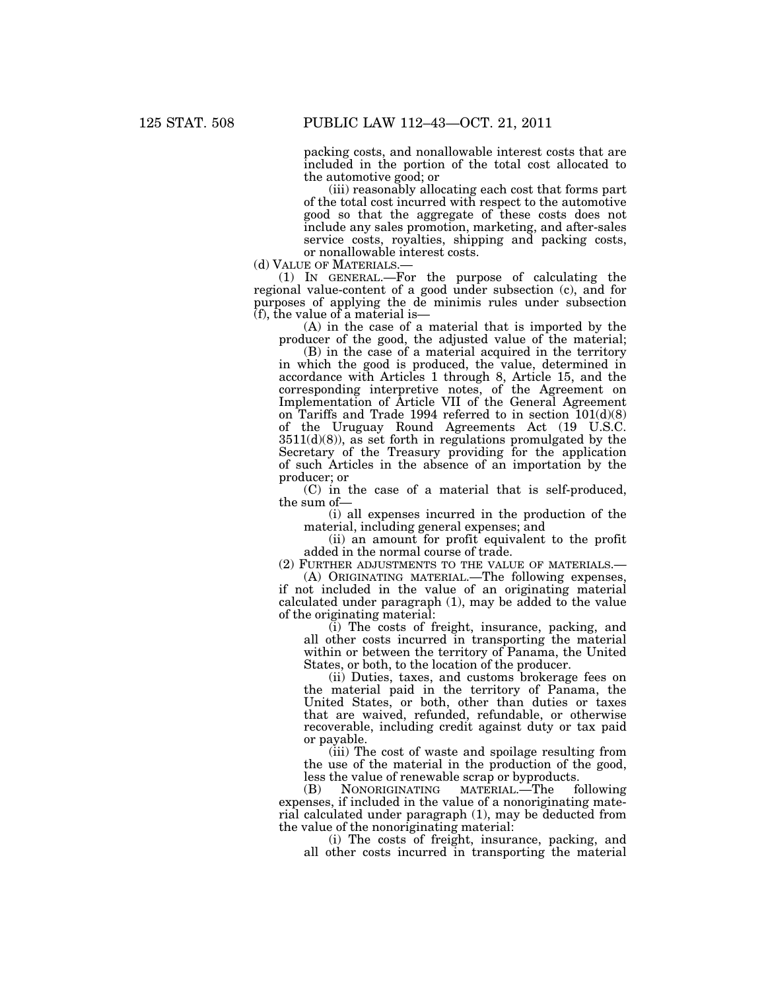packing costs, and nonallowable interest costs that are included in the portion of the total cost allocated to the automotive good; or

(iii) reasonably allocating each cost that forms part of the total cost incurred with respect to the automotive good so that the aggregate of these costs does not include any sales promotion, marketing, and after-sales service costs, royalties, shipping and packing costs, or nonallowable interest costs.<br>(d) VALUE OF MATERIALS.—

(d) VALUE OF MATERIALS.— (1) IN GENERAL.—For the purpose of calculating the regional value-content of a good under subsection (c), and for purposes of applying the de minimis rules under subsection  $(f)$ , the value of a material is-

(A) in the case of a material that is imported by the producer of the good, the adjusted value of the material;

(B) in the case of a material acquired in the territory in which the good is produced, the value, determined in accordance with Articles 1 through 8, Article 15, and the corresponding interpretive notes, of the Agreement on Implementation of Article VII of the General Agreement on Tariffs and Trade 1994 referred to in section 101(d)(8) of the Uruguay Round Agreements Act (19 U.S.C.  $3511(d)(8)$ , as set forth in regulations promulgated by the Secretary of the Treasury providing for the application of such Articles in the absence of an importation by the producer; or

(C) in the case of a material that is self-produced, the sum of—

(i) all expenses incurred in the production of the material, including general expenses; and

(ii) an amount for profit equivalent to the profit added in the normal course of trade.

(2) FURTHER ADJUSTMENTS TO THE VALUE OF MATERIALS.— (A) ORIGINATING MATERIAL.—The following expenses,

if not included in the value of an originating material calculated under paragraph (1), may be added to the value of the originating material:

(i) The costs of freight, insurance, packing, and all other costs incurred in transporting the material within or between the territory of Panama, the United States, or both, to the location of the producer.

(ii) Duties, taxes, and customs brokerage fees on the material paid in the territory of Panama, the United States, or both, other than duties or taxes that are waived, refunded, refundable, or otherwise recoverable, including credit against duty or tax paid or payable.

(iii) The cost of waste and spoilage resulting from the use of the material in the production of the good, less the value of renewable scrap or byproducts.<br>(B) NONORIGINATING MATERIAL.—The f

MATERIAL.<sup>1</sup>The following expenses, if included in the value of a nonoriginating material calculated under paragraph (1), may be deducted from the value of the nonoriginating material:

(i) The costs of freight, insurance, packing, and all other costs incurred in transporting the material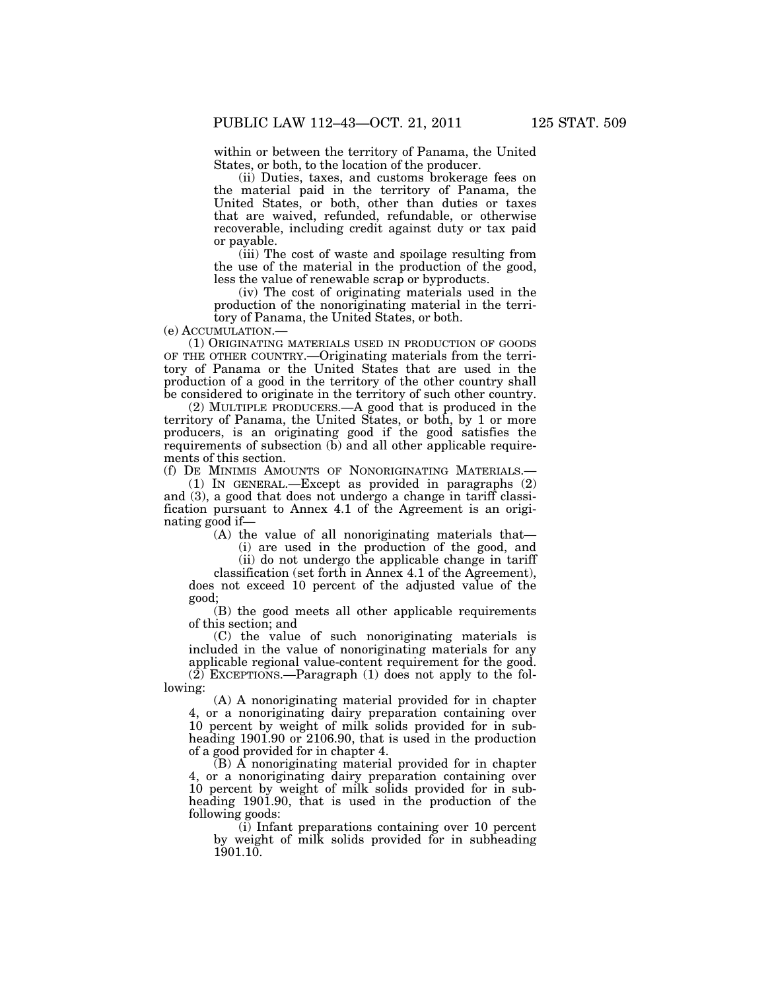within or between the territory of Panama, the United States, or both, to the location of the producer.

(ii) Duties, taxes, and customs brokerage fees on the material paid in the territory of Panama, the United States, or both, other than duties or taxes that are waived, refunded, refundable, or otherwise recoverable, including credit against duty or tax paid or payable.

(iii) The cost of waste and spoilage resulting from the use of the material in the production of the good, less the value of renewable scrap or byproducts.

(iv) The cost of originating materials used in the production of the nonoriginating material in the territory of Panama, the United States, or both.

(e) ACCUMULATION.—

(1) ORIGINATING MATERIALS USED IN PRODUCTION OF GOODS OF THE OTHER COUNTRY.—Originating materials from the territory of Panama or the United States that are used in the production of a good in the territory of the other country shall be considered to originate in the territory of such other country.

(2) MULTIPLE PRODUCERS.—A good that is produced in the territory of Panama, the United States, or both, by 1 or more producers, is an originating good if the good satisfies the requirements of subsection (b) and all other applicable requirements of this section.

(f) DE MINIMIS AMOUNTS OF NONORIGINATING MATERIALS.—

(1) IN GENERAL.—Except as provided in paragraphs (2) and (3), a good that does not undergo a change in tariff classification pursuant to Annex 4.1 of the Agreement is an originating good if—

(A) the value of all nonoriginating materials that— (i) are used in the production of the good, and (ii) do not undergo the applicable change in tariff

classification (set forth in Annex 4.1 of the Agreement), does not exceed 10 percent of the adjusted value of the good;

(B) the good meets all other applicable requirements of this section; and

(C) the value of such nonoriginating materials is included in the value of nonoriginating materials for any applicable regional value-content requirement for the good.  $(2)$  EXCEPTIONS.—Paragraph  $(1)$  does not apply to the following:

(A) A nonoriginating material provided for in chapter 4, or a nonoriginating dairy preparation containing over 10 percent by weight of milk solids provided for in subheading 1901.90 or 2106.90, that is used in the production of a good provided for in chapter 4.

 $(B)$  A nonoriginating material provided for in chapter 4, or a nonoriginating dairy preparation containing over 10 percent by weight of milk solids provided for in subheading 1901.90, that is used in the production of the following goods:

 $(i)$  Infant preparations containing over 10 percent by weight of milk solids provided for in subheading 1901.10.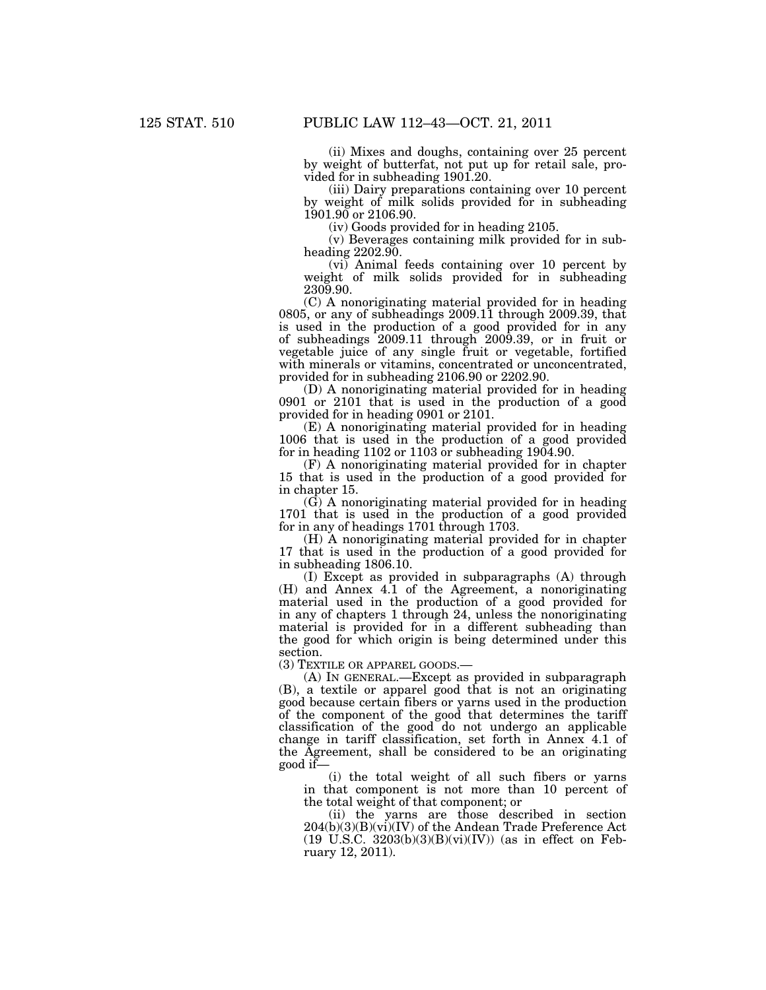(ii) Mixes and doughs, containing over 25 percent by weight of butterfat, not put up for retail sale, provided for in subheading 1901.20.

(iii) Dairy preparations containing over 10 percent by weight of milk solids provided for in subheading  $1901.90$  or  $2106.90$ .

(iv) Goods provided for in heading 2105.

(v) Beverages containing milk provided for in subheading 2202.90.

(vi) Animal feeds containing over 10 percent by weight of milk solids provided for in subheading 2309.90.

(C) A nonoriginating material provided for in heading 0805, or any of subheadings 2009.11 through 2009.39, that is used in the production of a good provided for in any of subheadings 2009.11 through 2009.39, or in fruit or vegetable juice of any single fruit or vegetable, fortified with minerals or vitamins, concentrated or unconcentrated, provided for in subheading 2106.90 or 2202.90.

(D) A nonoriginating material provided for in heading 0901 or 2101 that is used in the production of a good provided for in heading 0901 or 2101.

(E) A nonoriginating material provided for in heading 1006 that is used in the production of a good provided for in heading  $1102$  or  $1103$  or subheading  $1904.90$ .

(F) A nonoriginating material provided for in chapter 15 that is used in the production of a good provided for in chapter 15.

 $(G)$  A nonoriginating material provided for in heading 1701 that is used in the production of a good provided for in any of headings 1701 through 1703.

(H) A nonoriginating material provided for in chapter 17 that is used in the production of a good provided for in subheading 1806.10.

(I) Except as provided in subparagraphs (A) through (H) and Annex 4.1 of the Agreement, a nonoriginating material used in the production of a good provided for in any of chapters 1 through 24, unless the nonoriginating material is provided for in a different subheading than the good for which origin is being determined under this section.

(3) TEXTILE OR APPAREL GOODS.—

(A) IN GENERAL.—Except as provided in subparagraph (B), a textile or apparel good that is not an originating good because certain fibers or yarns used in the production of the component of the good that determines the tariff classification of the good do not undergo an applicable change in tariff classification, set forth in Annex 4.1 of the Agreement, shall be considered to be an originating good if—

(i) the total weight of all such fibers or yarns in that component is not more than 10 percent of the total weight of that component; or

(ii) the yarns are those described in section 204(b)(3)(B)(vi)(IV) of the Andean Trade Preference Act (19 U.S.C. 3203(b)(3)(B)(vi)(IV)) (as in effect on February 12, 2011).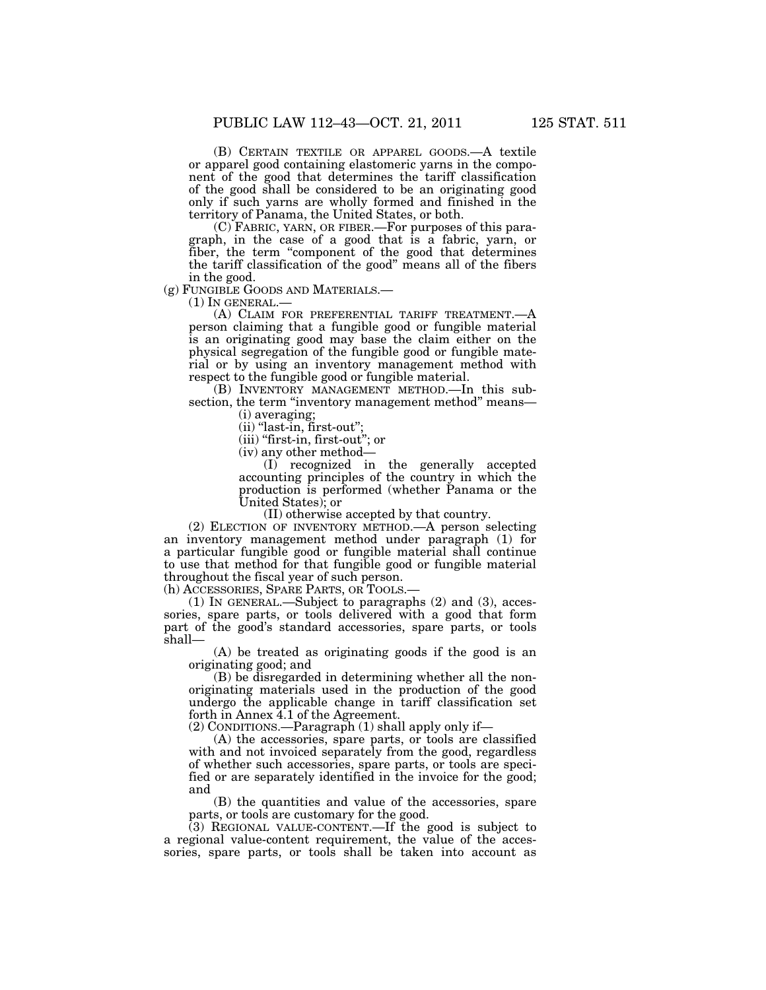(B) CERTAIN TEXTILE OR APPAREL GOODS.—A textile or apparel good containing elastomeric yarns in the component of the good that determines the tariff classification of the good shall be considered to be an originating good only if such yarns are wholly formed and finished in the territory of Panama, the United States, or both.

(C) FABRIC, YARN, OR FIBER.—For purposes of this paragraph, in the case of a good that is a fabric, yarn, or fiber, the term "component of the good that determines the tariff classification of the good'' means all of the fibers in the good.<br>(g) FUNGIBLE GOODS AND MATERIALS.—

(1) IN GENERAL.—<br>(A) CLAIM FOR PREFERENTIAL TARIFF TREATMENT.—A person claiming that a fungible good or fungible material is an originating good may base the claim either on the physical segregation of the fungible good or fungible material or by using an inventory management method with respect to the fungible good or fungible material.

(B) INVENTORY MANAGEMENT METHOD.—In this subsection, the term "inventory management method" means—

(i) averaging;

(ii) ''last-in, first-out'';

(iii) ''first-in, first-out''; or

(iv) any other method—

(I) recognized in the generally accepted accounting principles of the country in which the production is performed (whether Panama or the United States); or

(II) otherwise accepted by that country.

(2) ELECTION OF INVENTORY METHOD.—A person selecting an inventory management method under paragraph (1) for a particular fungible good or fungible material shall continue to use that method for that fungible good or fungible material throughout the fiscal year of such person.

(h) ACCESSORIES, SPARE PARTS, OR TOOLS.—

(1) IN GENERAL.—Subject to paragraphs (2) and (3), accessories, spare parts, or tools delivered with a good that form part of the good's standard accessories, spare parts, or tools shall—

(A) be treated as originating goods if the good is an originating good; and

(B) be disregarded in determining whether all the nonoriginating materials used in the production of the good undergo the applicable change in tariff classification set forth in Annex 4.1 of the Agreement.

(2) CONDITIONS.—Paragraph (1) shall apply only if—

(A) the accessories, spare parts, or tools are classified with and not invoiced separately from the good, regardless of whether such accessories, spare parts, or tools are specified or are separately identified in the invoice for the good; and

(B) the quantities and value of the accessories, spare parts, or tools are customary for the good.

(3) REGIONAL VALUE-CONTENT.—If the good is subject to a regional value-content requirement, the value of the accessories, spare parts, or tools shall be taken into account as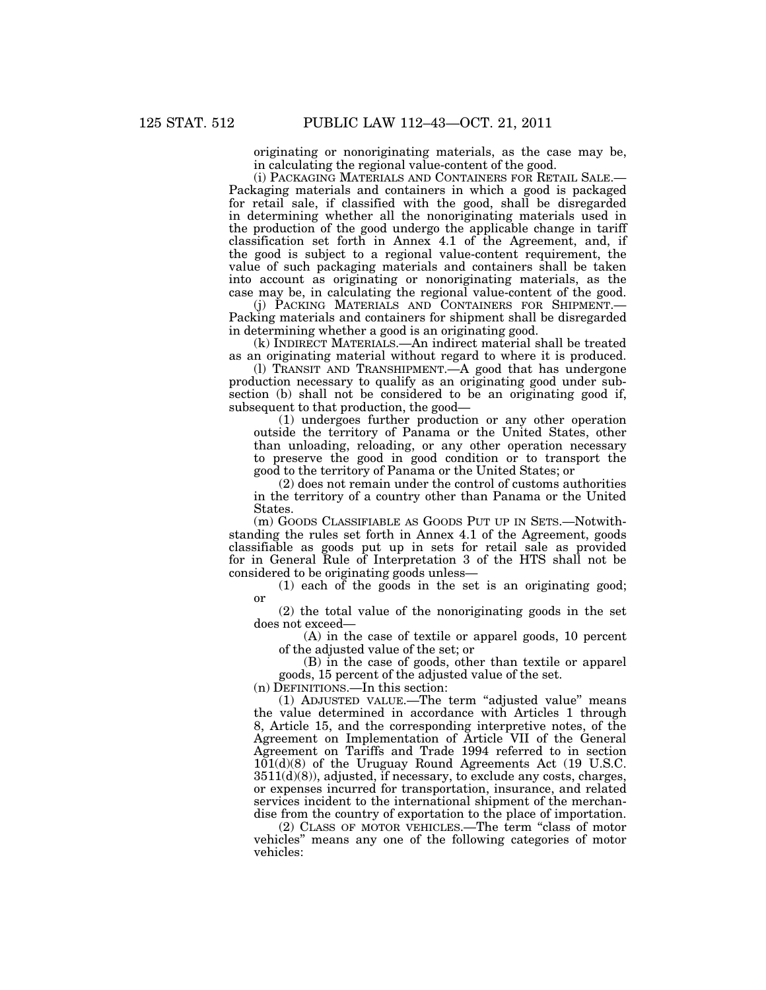originating or nonoriginating materials, as the case may be, in calculating the regional value-content of the good.

(i) PACKAGING MATERIALS AND CONTAINERS FOR RETAIL SALE.— Packaging materials and containers in which a good is packaged for retail sale, if classified with the good, shall be disregarded in determining whether all the nonoriginating materials used in the production of the good undergo the applicable change in tariff classification set forth in Annex 4.1 of the Agreement, and, if the good is subject to a regional value-content requirement, the value of such packaging materials and containers shall be taken into account as originating or nonoriginating materials, as the case may be, in calculating the regional value-content of the good.

(j) PACKING MATERIALS AND CONTAINERS FOR SHIPMENT.— Packing materials and containers for shipment shall be disregarded in determining whether a good is an originating good.

(k) INDIRECT MATERIALS.—An indirect material shall be treated as an originating material without regard to where it is produced.

(l) TRANSIT AND TRANSHIPMENT.—A good that has undergone production necessary to qualify as an originating good under subsection (b) shall not be considered to be an originating good if, subsequent to that production, the good—

(1) undergoes further production or any other operation outside the territory of Panama or the United States, other than unloading, reloading, or any other operation necessary to preserve the good in good condition or to transport the good to the territory of Panama or the United States; or

(2) does not remain under the control of customs authorities in the territory of a country other than Panama or the United States.

(m) GOODS CLASSIFIABLE AS GOODS PUT UP IN SETS.—Notwithstanding the rules set forth in Annex 4.1 of the Agreement, goods classifiable as goods put up in sets for retail sale as provided for in General Rule of Interpretation 3 of the HTS shall not be considered to be originating goods unless—

(1) each of the goods in the set is an originating good; or

(2) the total value of the nonoriginating goods in the set does not exceed—

(A) in the case of textile or apparel goods, 10 percent of the adjusted value of the set; or

(B) in the case of goods, other than textile or apparel goods, 15 percent of the adjusted value of the set.

(n) DEFINITIONS.—In this section:

(1) ADJUSTED VALUE.—The term ''adjusted value'' means the value determined in accordance with Articles 1 through 8, Article 15, and the corresponding interpretive notes, of the Agreement on Implementation of Article VII of the General Agreement on Tariffs and Trade 1994 referred to in section  $101(d)(8)$  of the Uruguay Round Agreements Act (19 U.S.C. 3511(d)(8)), adjusted, if necessary, to exclude any costs, charges, or expenses incurred for transportation, insurance, and related services incident to the international shipment of the merchandise from the country of exportation to the place of importation.

(2) CLASS OF MOTOR VEHICLES.—The term ''class of motor vehicles'' means any one of the following categories of motor vehicles: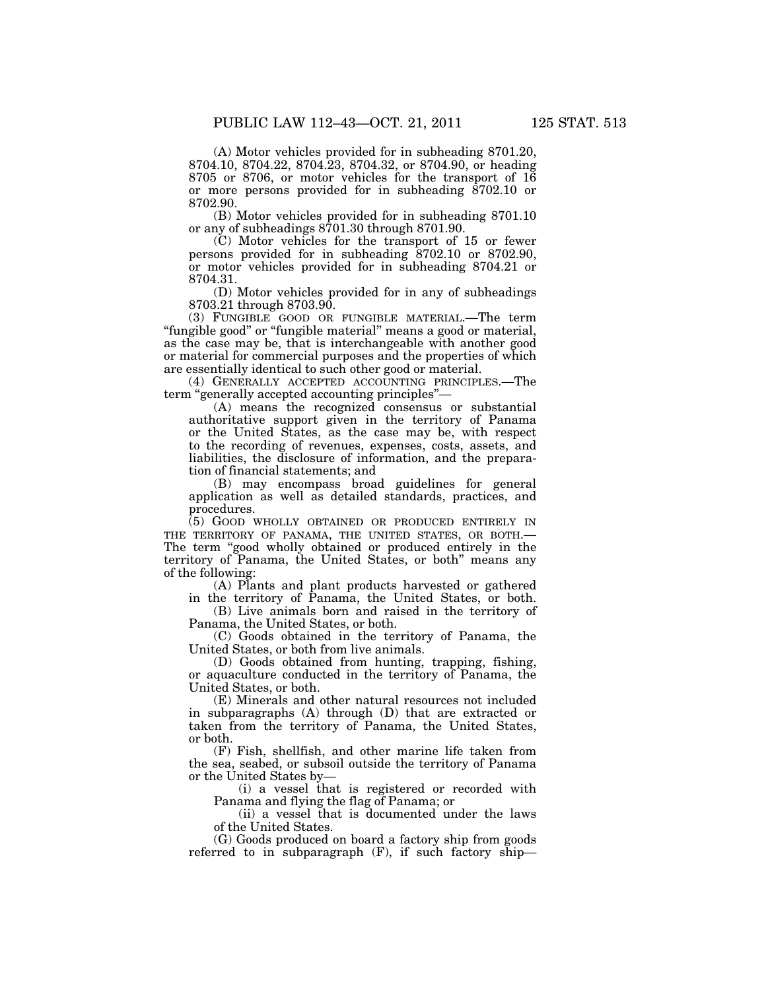(A) Motor vehicles provided for in subheading 8701.20, 8704.10, 8704.22, 8704.23, 8704.32, or 8704.90, or heading 8705 or 8706, or motor vehicles for the transport of 16 or more persons provided for in subheading  $\overline{8702.10}$  or 8702.90.

(B) Motor vehicles provided for in subheading 8701.10 or any of subheadings 8701.30 through 8701.90.

(C) Motor vehicles for the transport of 15 or fewer persons provided for in subheading 8702.10 or 8702.90, or motor vehicles provided for in subheading 8704.21 or 8704.31.

(D) Motor vehicles provided for in any of subheadings 8703.21 through 8703.90.

(3) FUNGIBLE GOOD OR FUNGIBLE MATERIAL.—The term "fungible good" or "fungible material" means a good or material, as the case may be, that is interchangeable with another good or material for commercial purposes and the properties of which are essentially identical to such other good or material.

(4) GENERALLY ACCEPTED ACCOUNTING PRINCIPLES.—The term "generally accepted accounting principles"-

(A) means the recognized consensus or substantial authoritative support given in the territory of Panama or the United States, as the case may be, with respect to the recording of revenues, expenses, costs, assets, and liabilities, the disclosure of information, and the preparation of financial statements; and

(B) may encompass broad guidelines for general application as well as detailed standards, practices, and procedures.

(5) GOOD WHOLLY OBTAINED OR PRODUCED ENTIRELY IN THE TERRITORY OF PANAMA, THE UNITED STATES, OR BOTH.— The term "good wholly obtained or produced entirely in the territory of Panama, the United States, or both'' means any of the following:

(A) Plants and plant products harvested or gathered in the territory of Panama, the United States, or both.

(B) Live animals born and raised in the territory of Panama, the United States, or both.

(C) Goods obtained in the territory of Panama, the United States, or both from live animals.

(D) Goods obtained from hunting, trapping, fishing, or aquaculture conducted in the territory of Panama, the United States, or both.

(E) Minerals and other natural resources not included in subparagraphs (A) through (D) that are extracted or taken from the territory of Panama, the United States, or both.

(F) Fish, shellfish, and other marine life taken from the sea, seabed, or subsoil outside the territory of Panama or the United States by—

(i) a vessel that is registered or recorded with Panama and flying the flag of Panama; or

(ii) a vessel that is documented under the laws of the United States.

(G) Goods produced on board a factory ship from goods referred to in subparagraph (F), if such factory ship—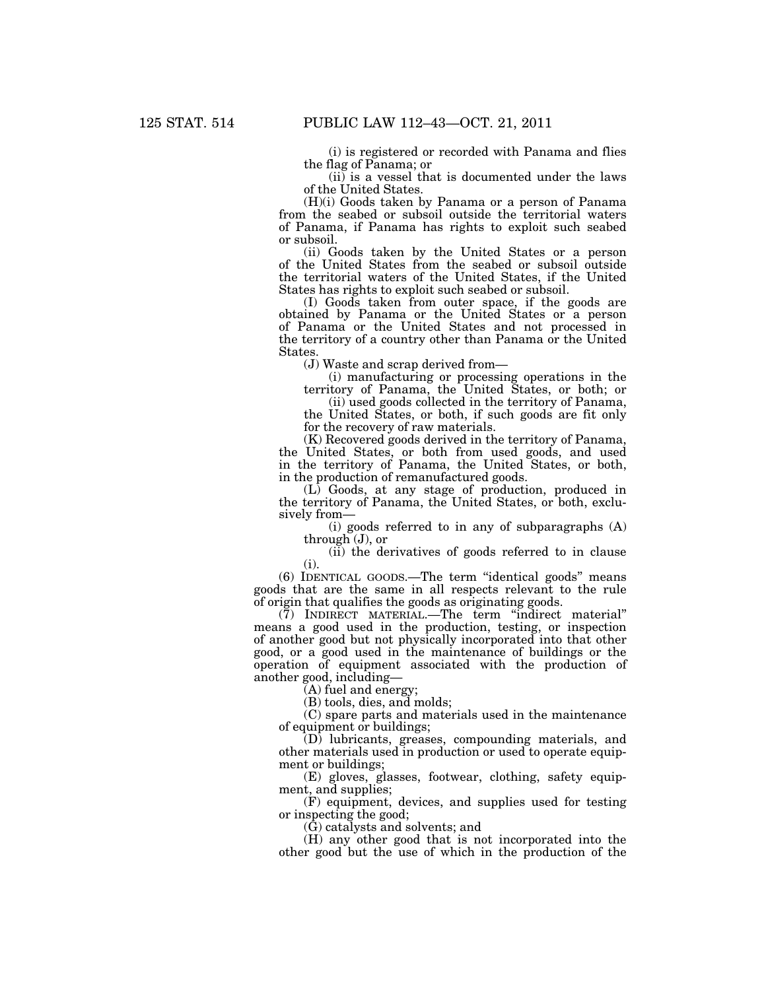(i) is registered or recorded with Panama and flies the flag of Panama; or

 $(ii)$  is a vessel that is documented under the laws of the United States.

(H)(i) Goods taken by Panama or a person of Panama from the seabed or subsoil outside the territorial waters of Panama, if Panama has rights to exploit such seabed or subsoil.

(ii) Goods taken by the United States or a person of the United States from the seabed or subsoil outside the territorial waters of the United States, if the United States has rights to exploit such seabed or subsoil.

(I) Goods taken from outer space, if the goods are obtained by Panama or the United States or a person of Panama or the United States and not processed in the territory of a country other than Panama or the United States.

(J) Waste and scrap derived from—

(i) manufacturing or processing operations in the territory of Panama, the United States, or both; or

(ii) used goods collected in the territory of Panama, the United States, or both, if such goods are fit only for the recovery of raw materials.

(K) Recovered goods derived in the territory of Panama, the United States, or both from used goods, and used in the territory of Panama, the United States, or both, in the production of remanufactured goods.

(L) Goods, at any stage of production, produced in the territory of Panama, the United States, or both, exclusively from—

(i) goods referred to in any of subparagraphs (A) through (J), or

(ii) the derivatives of goods referred to in clause (i).

(6) IDENTICAL GOODS.—The term ''identical goods'' means goods that are the same in all respects relevant to the rule of origin that qualifies the goods as originating goods.

(7) INDIRECT MATERIAL.—The term ''indirect material'' means a good used in the production, testing, or inspection of another good but not physically incorporated into that other good, or a good used in the maintenance of buildings or the operation of equipment associated with the production of another good, including—

(A) fuel and energy;

(B) tools, dies, and molds;

(C) spare parts and materials used in the maintenance of equipment or buildings;

(D) lubricants, greases, compounding materials, and other materials used in production or used to operate equipment or buildings;

(E) gloves, glasses, footwear, clothing, safety equipment, and supplies;

(F) equipment, devices, and supplies used for testing or inspecting the good;

(G) catalysts and solvents; and

(H) any other good that is not incorporated into the other good but the use of which in the production of the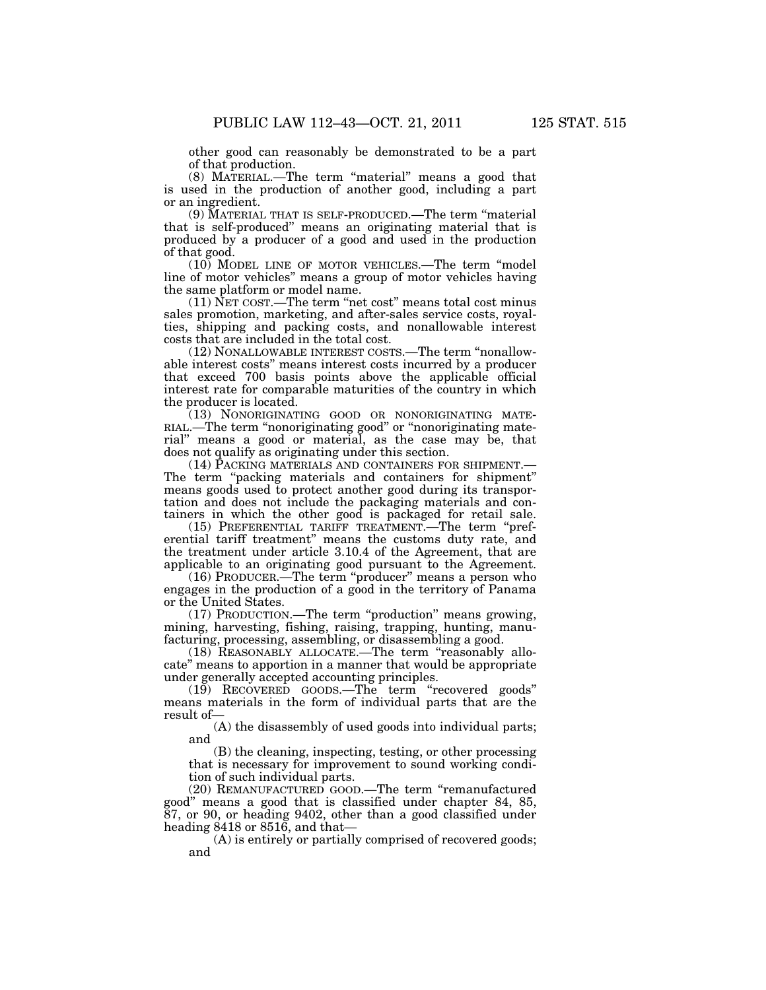other good can reasonably be demonstrated to be a part of that production.

(8) MATERIAL.—The term ''material'' means a good that is used in the production of another good, including a part or an ingredient.

(9) MATERIAL THAT IS SELF-PRODUCED.—The term ''material that is self-produced'' means an originating material that is produced by a producer of a good and used in the production of that good.

(10) MODEL LINE OF MOTOR VEHICLES.—The term ''model line of motor vehicles'' means a group of motor vehicles having the same platform or model name.

(11) NET COST.—The term ''net cost'' means total cost minus sales promotion, marketing, and after-sales service costs, royalties, shipping and packing costs, and nonallowable interest costs that are included in the total cost.

(12) NONALLOWABLE INTEREST COSTS.—The term ''nonallowable interest costs'' means interest costs incurred by a producer that exceed 700 basis points above the applicable official interest rate for comparable maturities of the country in which the producer is located.

(13) NONORIGINATING GOOD OR NONORIGINATING MATE-RIAL.—The term ''nonoriginating good'' or ''nonoriginating material'' means a good or material, as the case may be, that does not qualify as originating under this section.

(14) PACKING MATERIALS AND CONTAINERS FOR SHIPMENT.— The term "packing materials and containers for shipment" means goods used to protect another good during its transportation and does not include the packaging materials and containers in which the other good is packaged for retail sale.

(15) PREFERENTIAL TARIFF TREATMENT.—The term ''preferential tariff treatment'' means the customs duty rate, and the treatment under article 3.10.4 of the Agreement, that are applicable to an originating good pursuant to the Agreement.

(16) PRODUCER.—The term ''producer'' means a person who engages in the production of a good in the territory of Panama or the United States.

(17) PRODUCTION.—The term ''production'' means growing, mining, harvesting, fishing, raising, trapping, hunting, manufacturing, processing, assembling, or disassembling a good.

(18) REASONABLY ALLOCATE.—The term ''reasonably allocate'' means to apportion in a manner that would be appropriate under generally accepted accounting principles.

(19) RECOVERED GOODS.—The term ''recovered goods'' means materials in the form of individual parts that are the result of—

(A) the disassembly of used goods into individual parts; and

(B) the cleaning, inspecting, testing, or other processing that is necessary for improvement to sound working condition of such individual parts.

(20) REMANUFACTURED GOOD.—The term ''remanufactured good'' means a good that is classified under chapter 84, 85, 87, or 90, or heading 9402, other than a good classified under heading 8418 or 8516, and that—

(A) is entirely or partially comprised of recovered goods; and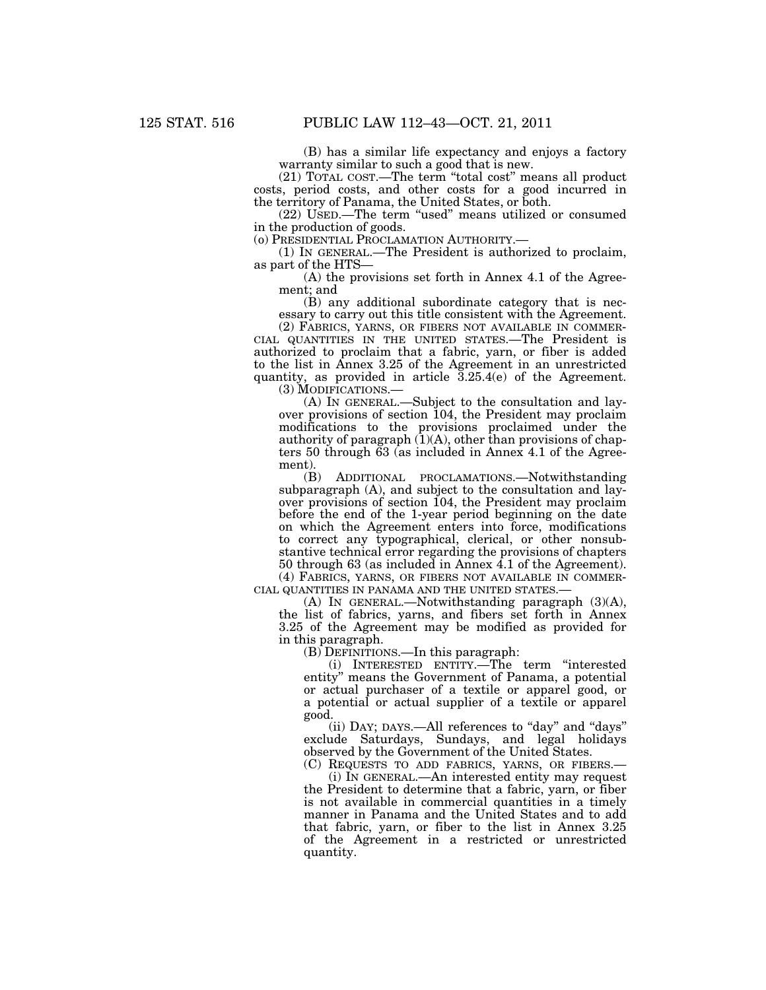(B) has a similar life expectancy and enjoys a factory warranty similar to such a good that is new.

(21) TOTAL COST.—The term ''total cost'' means all product costs, period costs, and other costs for a good incurred in the territory of Panama, the United States, or both.

(22) USED.—The term ''used'' means utilized or consumed in the production of goods.<br>(o) PRESIDENTIAL PROCLAMATION AUTHORITY.—

(1) IN GENERAL.—The President is authorized to proclaim, as part of the HTS—

(A) the provisions set forth in Annex 4.1 of the Agreement; and

(B) any additional subordinate category that is necessary to carry out this title consistent with the Agreement.<br>(2) FABRICS, YARNS, OR FIBERS NOT AVAILABLE IN COMMER-

CIAL QUANTITIES IN THE UNITED STATES.—The President is authorized to proclaim that a fabric, yarn, or fiber is added to the list in Annex 3.25 of the Agreement in an unrestricted quantity, as provided in article 3.25.4(e) of the Agreement.

(3) MODIFICATIONS.—

(A) IN GENERAL.—Subject to the consultation and layover provisions of section 104, the President may proclaim modifications to the provisions proclaimed under the authority of paragraph  $(1)(A)$ , other than provisions of chapters 50 through 63 (as included in Annex 4.1 of the Agreement).

(B) ADDITIONAL PROCLAMATIONS.—Notwithstanding subparagraph (A), and subject to the consultation and layover provisions of section 104, the President may proclaim before the end of the 1-year period beginning on the date on which the Agreement enters into force, modifications to correct any typographical, clerical, or other nonsubstantive technical error regarding the provisions of chapters 50 through 63 (as included in Annex 4.1 of the Agreement).

(4) FABRICS, YARNS, OR FIBERS NOT AVAILABLE IN COMMER- CIAL QUANTITIES IN PANAMA AND THE UNITED STATES.—

(A) IN GENERAL.—Notwithstanding paragraph (3)(A), the list of fabrics, yarns, and fibers set forth in Annex 3.25 of the Agreement may be modified as provided for in this paragraph.

(B) DEFINITIONS.—In this paragraph:

(i) INTERESTED ENTITY.—The term ''interested entity'' means the Government of Panama, a potential or actual purchaser of a textile or apparel good, or a potential or actual supplier of a textile or apparel good.

(ii) DAY; DAYS.—All references to ''day'' and ''days'' exclude Saturdays, Sundays, and legal holidays observed by the Government of the United States.

(C) REQUESTS TO ADD FABRICS, YARNS, OR FIBERS.— (i) IN GENERAL.—An interested entity may request the President to determine that a fabric, yarn, or fiber is not available in commercial quantities in a timely manner in Panama and the United States and to add that fabric, yarn, or fiber to the list in Annex 3.25 of the Agreement in a restricted or unrestricted quantity.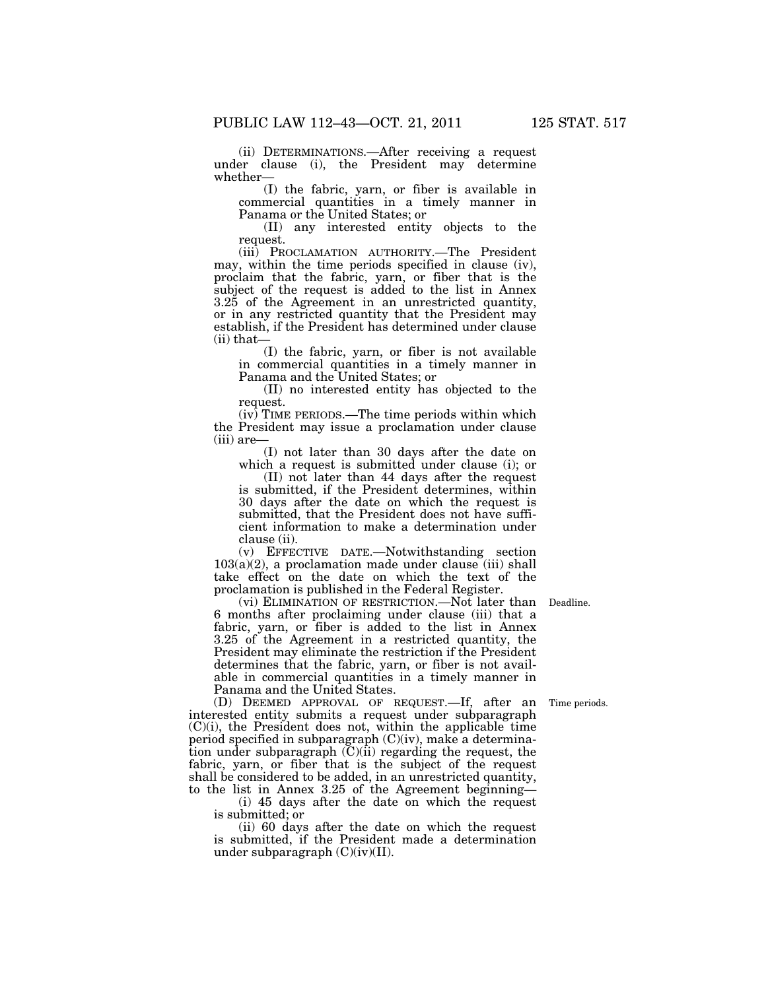(ii) DETERMINATIONS.—After receiving a request under clause (i), the President may determine whether—

(I) the fabric, yarn, or fiber is available in commercial quantities in a timely manner in Panama or the United States; or

(II) any interested entity objects to the request.

(iii) PROCLAMATION AUTHORITY.—The President may, within the time periods specified in clause (iv), proclaim that the fabric, yarn, or fiber that is the subject of the request is added to the list in Annex 3.25 of the Agreement in an unrestricted quantity, or in any restricted quantity that the President may establish, if the President has determined under clause (ii) that—

(I) the fabric, yarn, or fiber is not available in commercial quantities in a timely manner in Panama and the United States; or

(II) no interested entity has objected to the request.

(iv) TIME PERIODS.—The time periods within which the President may issue a proclamation under clause (iii) are—

(I) not later than 30 days after the date on which a request is submitted under clause (i); or

(II) not later than 44 days after the request is submitted, if the President determines, within 30 days after the date on which the request is submitted, that the President does not have sufficient information to make a determination under clause (ii).

(v) EFFECTIVE DATE.—Notwithstanding section  $103(a)(2)$ , a proclamation made under clause (iii) shall take effect on the date on which the text of the proclamation is published in the Federal Register.

(vi) ELIMINATION OF RESTRICTION.—Not later than Deadline. 6 months after proclaiming under clause (iii) that a fabric, yarn, or fiber is added to the list in Annex 3.25 of the Agreement in a restricted quantity, the President may eliminate the restriction if the President determines that the fabric, yarn, or fiber is not available in commercial quantities in a timely manner in Panama and the United States.

(D) DEEMED APPROVAL OF REQUEST.—If, after an interested entity submits a request under subparagraph (C)(i), the President does not, within the applicable time period specified in subparagraph (C)(iv), make a determination under subparagraph  $(C)(ii)$  regarding the request, the fabric, yarn, or fiber that is the subject of the request shall be considered to be added, in an unrestricted quantity, to the list in Annex 3.25 of the Agreement beginning— Time periods.

(i) 45 days after the date on which the request is submitted; or

(ii) 60 days after the date on which the request is submitted, if the President made a determination under subparagraph (C)(iv)(II).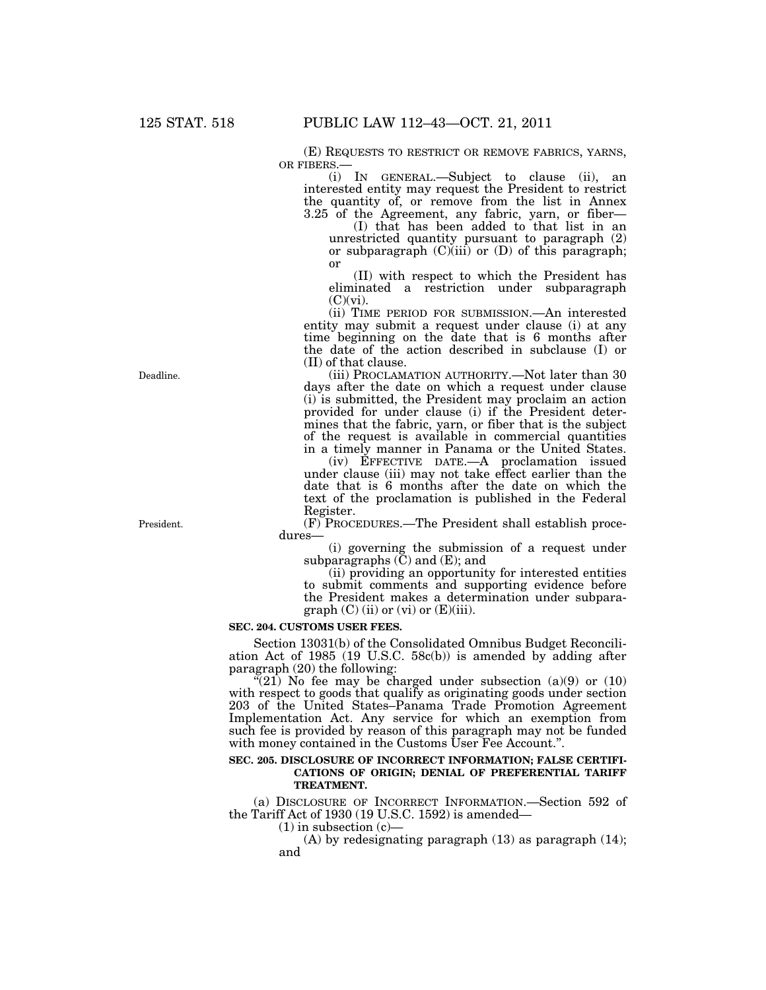(E) REQUESTS TO RESTRICT OR REMOVE FABRICS, YARNS, OR FIBERS.—

(i) IN GENERAL.—Subject to clause (ii), an interested entity may request the President to restrict the quantity of, or remove from the list in Annex 3.25 of the Agreement, any fabric, yarn, or fiber—

(I) that has been added to that list in an unrestricted quantity pursuant to paragraph (2) or subparagraph  $(C)(iii)$  or  $(D)$  of this paragraph; or

(II) with respect to which the President has eliminated a restriction under subparagraph  $(C)(vi)$ .

(ii) TIME PERIOD FOR SUBMISSION.—An interested entity may submit a request under clause (i) at any time beginning on the date that is 6 months after the date of the action described in subclause (I) or (II) of that clause.

(iii) PROCLAMATION AUTHORITY.—Not later than 30 days after the date on which a request under clause (i) is submitted, the President may proclaim an action provided for under clause (i) if the President determines that the fabric, yarn, or fiber that is the subject of the request is available in commercial quantities in a timely manner in Panama or the United States.

(iv) EFFECTIVE DATE.—A proclamation issued under clause (iii) may not take effect earlier than the date that is 6 months after the date on which the text of the proclamation is published in the Federal Register.

(F) PROCEDURES.—The President shall establish procedures—

(i) governing the submission of a request under subparagraphs (C) and (E); and

(ii) providing an opportunity for interested entities to submit comments and supporting evidence before the President makes a determination under subparagraph  $(C)$  (ii) or (vi) or  $(E)$ (iii).

#### **SEC. 204. CUSTOMS USER FEES.**

Section 13031(b) of the Consolidated Omnibus Budget Reconciliation Act of 1985 (19 U.S.C. 58c(b)) is amended by adding after paragraph (20) the following:

 $\overline{f(21)}$  No fee may be charged under subsection (a)(9) or (10) with respect to goods that qualify as originating goods under section 203 of the United States–Panama Trade Promotion Agreement Implementation Act. Any service for which an exemption from such fee is provided by reason of this paragraph may not be funded with money contained in the Customs User Fee Account.".

#### **SEC. 205. DISCLOSURE OF INCORRECT INFORMATION; FALSE CERTIFI-CATIONS OF ORIGIN; DENIAL OF PREFERENTIAL TARIFF TREATMENT.**

(a) DISCLOSURE OF INCORRECT INFORMATION.—Section 592 of the Tariff Act of 1930 (19 U.S.C. 1592) is amended—

 $(1)$  in subsection  $(c)$ —

(A) by redesignating paragraph (13) as paragraph (14); and

Deadline.

President.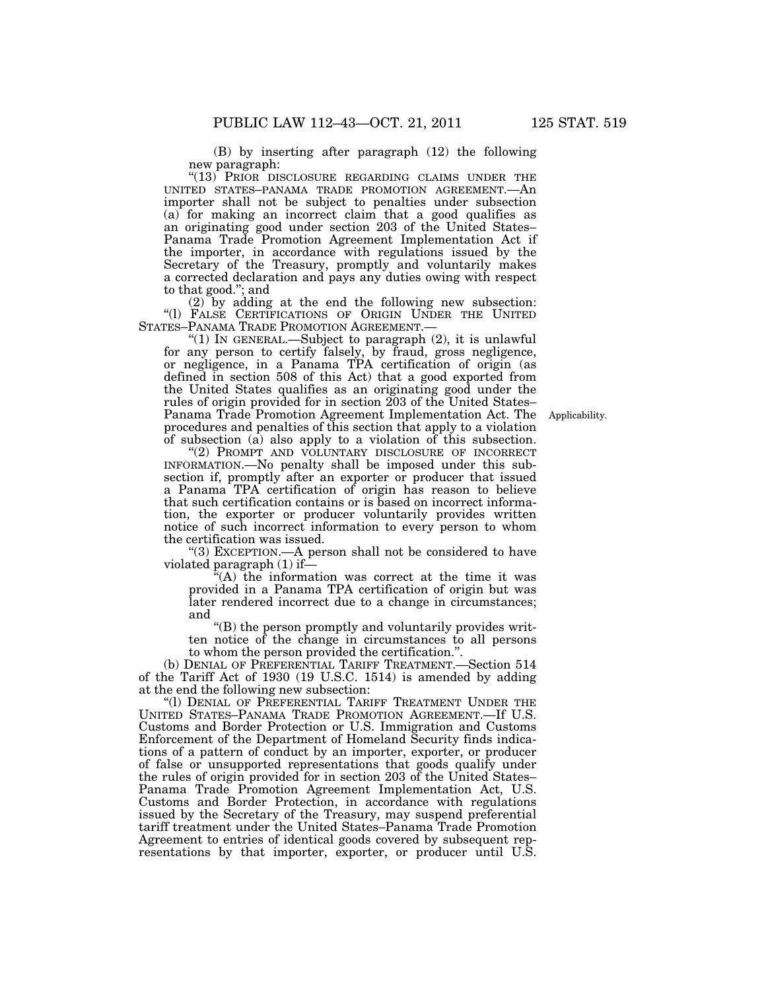(B) by inserting after paragraph (12) the following new paragraph:

"(13) PRIOR DISCLOSURE REGARDING CLAIMS UNDER THE UNITED STATES–PANAMA TRADE PROMOTION AGREEMENT.—An importer shall not be subject to penalties under subsection (a) for making an incorrect claim that a good qualifies as an originating good under section 203 of the United States– Panama Trade Promotion Agreement Implementation Act if the importer, in accordance with regulations issued by the Secretary of the Treasury, promptly and voluntarily makes a corrected declaration and pays any duties owing with respect to that good.''; and

(2) by adding at the end the following new subsection: ''(l) FALSE CERTIFICATIONS OF ORIGIN UNDER THE UNITED

"(1) IN GENERAL.—Subject to paragraph  $(2)$ , it is unlawful for any person to certify falsely, by fraud, gross negligence, or negligence, in a Panama TPA certification of origin (as defined in section 508 of this Act) that a good exported from the United States qualifies as an originating good under the rules of origin provided for in section 203 of the United States– Panama Trade Promotion Agreement Implementation Act. The procedures and penalties of this section that apply to a violation of subsection (a) also apply to a violation of this subsection.

Applicability.

"(2) PROMPT AND VOLUNTARY DISCLOSURE OF INCORRECT INFORMATION.—No penalty shall be imposed under this subsection if, promptly after an exporter or producer that issued a Panama TPA certification of origin has reason to believe that such certification contains or is based on incorrect information, the exporter or producer voluntarily provides written notice of such incorrect information to every person to whom the certification was issued.

''(3) EXCEPTION.—A person shall not be considered to have violated paragraph (1) if—

 $\mathbf{H}^{\mathsf{u}}(A)$  the information was correct at the time it was provided in a Panama TPA certification of origin but was later rendered incorrect due to a change in circumstances; and

''(B) the person promptly and voluntarily provides written notice of the change in circumstances to all persons to whom the person provided the certification.'

(b) DENIAL OF PREFERENTIAL TARIFF TREATMENT.—Section 514 of the Tariff Act of 1930 (19 U.S.C. 1514) is amended by adding at the end the following new subsection:

"(I) DENIAL OF PREFERENTIAL TARIFF TREATMENT UNDER THE UNITED STATES–PANAMA TRADE PROMOTION AGREEMENT.—If U.S. Customs and Border Protection or U.S. Immigration and Customs Enforcement of the Department of Homeland Security finds indications of a pattern of conduct by an importer, exporter, or producer of false or unsupported representations that goods qualify under the rules of origin provided for in section 203 of the United States– Panama Trade Promotion Agreement Implementation Act, U.S. Customs and Border Protection, in accordance with regulations issued by the Secretary of the Treasury, may suspend preferential tariff treatment under the United States–Panama Trade Promotion Agreement to entries of identical goods covered by subsequent representations by that importer, exporter, or producer until U.S.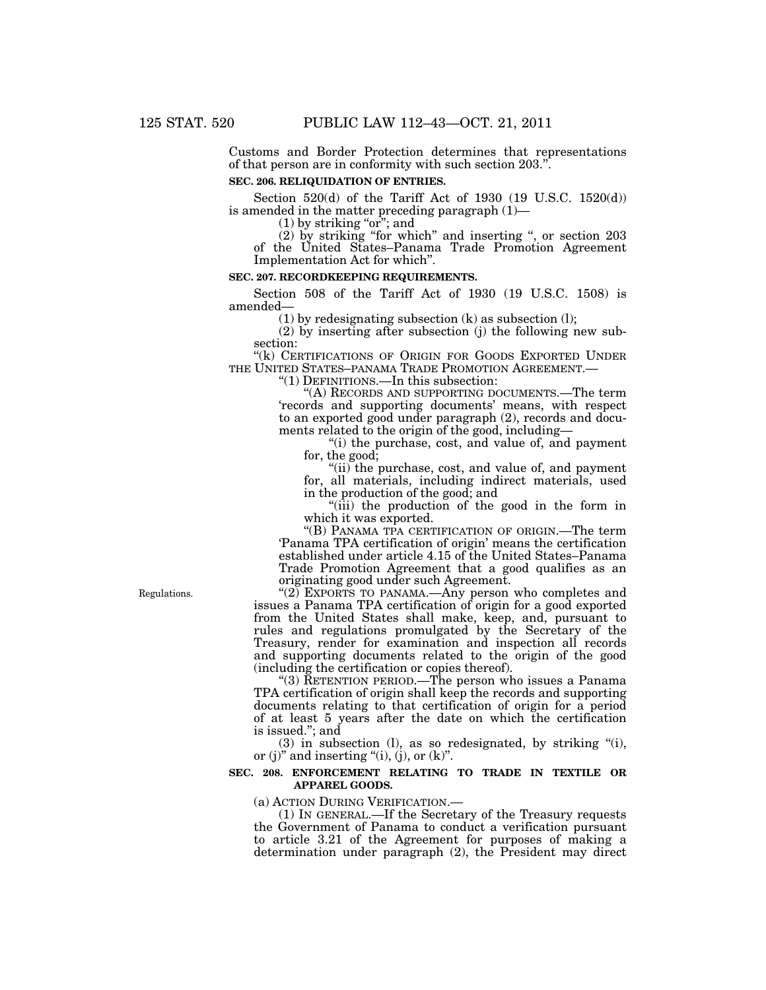Customs and Border Protection determines that representations of that person are in conformity with such section 203.''.

### **SEC. 206. RELIQUIDATION OF ENTRIES.**

Section 520(d) of the Tariff Act of 1930 (19 U.S.C. 1520(d)) is amended in the matter preceding paragraph (1)—

 $(1)$  by striking "or"; and

(2) by striking ''for which'' and inserting '', or section 203 of the United States–Panama Trade Promotion Agreement Implementation Act for which''.

#### **SEC. 207. RECORDKEEPING REQUIREMENTS.**

Section 508 of the Tariff Act of 1930 (19 U.S.C. 1508) is amended—

 $(1)$  by redesignating subsection  $(k)$  as subsection  $(l)$ ;

(2) by inserting after subsection (j) the following new subsection:

"(k) CERTIFICATIONS OF ORIGIN FOR GOODS EXPORTED UNDER THE UNITED STATES–PANAMA TRADE PROMOTION AGREEMENT.— ''(1) DEFINITIONS.—In this subsection:

''(A) RECORDS AND SUPPORTING DOCUMENTS.—The term 'records and supporting documents' means, with respect to an exported good under paragraph (2), records and documents related to the origin of the good, including—

''(i) the purchase, cost, and value of, and payment for, the good;

"(ii) the purchase, cost, and value of, and payment for, all materials, including indirect materials, used in the production of the good; and

''(iii) the production of the good in the form in which it was exported.

''(B) PANAMA TPA CERTIFICATION OF ORIGIN.—The term 'Panama TPA certification of origin' means the certification established under article 4.15 of the United States–Panama Trade Promotion Agreement that a good qualifies as an originating good under such Agreement.

"(2) EXPORTS TO PANAMA.—Any person who completes and issues a Panama TPA certification of origin for a good exported from the United States shall make, keep, and, pursuant to rules and regulations promulgated by the Secretary of the Treasury, render for examination and inspection all records and supporting documents related to the origin of the good (including the certification or copies thereof).

''(3) RETENTION PERIOD.—The person who issues a Panama TPA certification of origin shall keep the records and supporting documents relating to that certification of origin for a period of at least 5 years after the date on which the certification is issued.''; and

 $(3)$  in subsection  $(l)$ , as so redesignated, by striking " $(i)$ , or (j)" and inserting "(i), (j), or  $(k)$ ".

#### **SEC. 208. ENFORCEMENT RELATING TO TRADE IN TEXTILE OR APPAREL GOODS.**

(a) ACTION DURING VERIFICATION.—

(1) IN GENERAL.—If the Secretary of the Treasury requests the Government of Panama to conduct a verification pursuant to article 3.21 of the Agreement for purposes of making a determination under paragraph (2), the President may direct

Regulations.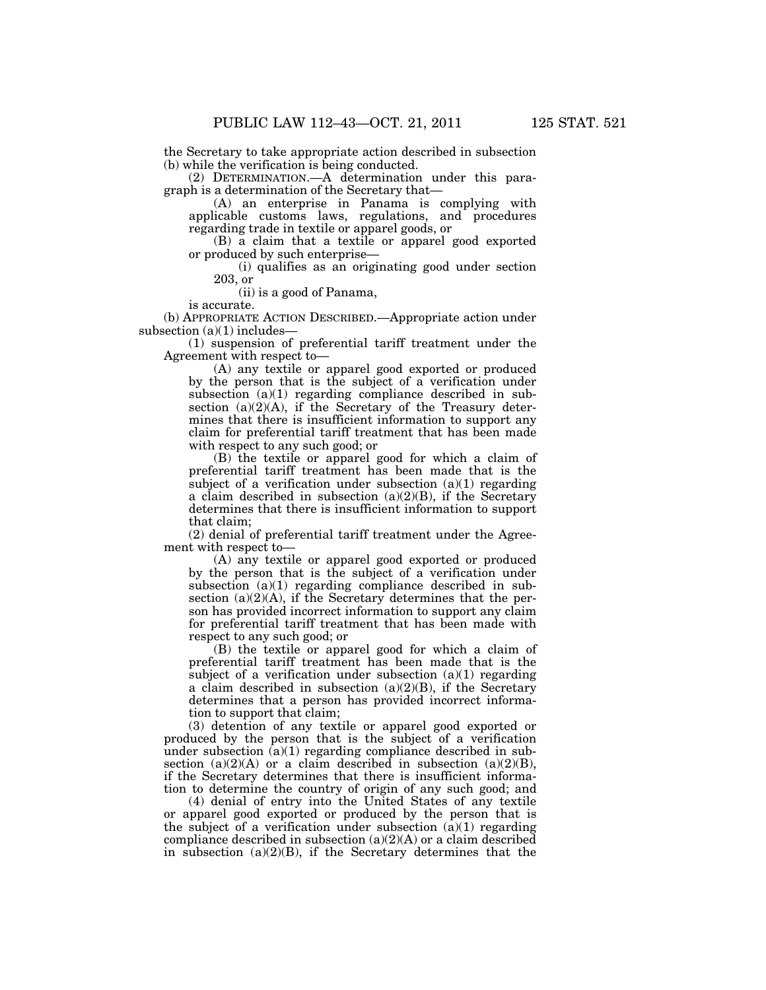the Secretary to take appropriate action described in subsection (b) while the verification is being conducted.

(2) DETERMINATION.—A determination under this paragraph is a determination of the Secretary that—

(A) an enterprise in Panama is complying with applicable customs laws, regulations, and procedures regarding trade in textile or apparel goods, or

(B) a claim that a textile or apparel good exported or produced by such enterprise—

(i) qualifies as an originating good under section 203, or

(ii) is a good of Panama,

is accurate.

(b) APPROPRIATE ACTION DESCRIBED.—Appropriate action under subsection  $(a)(1)$  includes—

(1) suspension of preferential tariff treatment under the Agreement with respect to—

(A) any textile or apparel good exported or produced by the person that is the subject of a verification under subsection (a)(1) regarding compliance described in subsection  $(a)(2)(A)$ , if the Secretary of the Treasury determines that there is insufficient information to support any claim for preferential tariff treatment that has been made with respect to any such good; or

(B) the textile or apparel good for which a claim of preferential tariff treatment has been made that is the subject of a verification under subsection  $(a)(1)$  regarding a claim described in subsection  $(a)(2)(B)$ , if the Secretary determines that there is insufficient information to support that claim;

(2) denial of preferential tariff treatment under the Agreement with respect to—

(A) any textile or apparel good exported or produced by the person that is the subject of a verification under subsection (a)(1) regarding compliance described in subsection  $(a)(2)(A)$ , if the Secretary determines that the person has provided incorrect information to support any claim for preferential tariff treatment that has been made with respect to any such good; or

(B) the textile or apparel good for which a claim of preferential tariff treatment has been made that is the subject of a verification under subsection  $(a)(1)$  regarding a claim described in subsection  $(a)(2)(B)$ , if the Secretary determines that a person has provided incorrect information to support that claim;

(3) detention of any textile or apparel good exported or produced by the person that is the subject of a verification under subsection (a)(1) regarding compliance described in subsection  $(a)(2)(A)$  or a claim described in subsection  $(a)(2)(B)$ , if the Secretary determines that there is insufficient information to determine the country of origin of any such good; and

(4) denial of entry into the United States of any textile or apparel good exported or produced by the person that is the subject of a verification under subsection  $(a)(1)$  regarding compliance described in subsection (a)(2)(A) or a claim described in subsection  $(a)(2)(B)$ , if the Secretary determines that the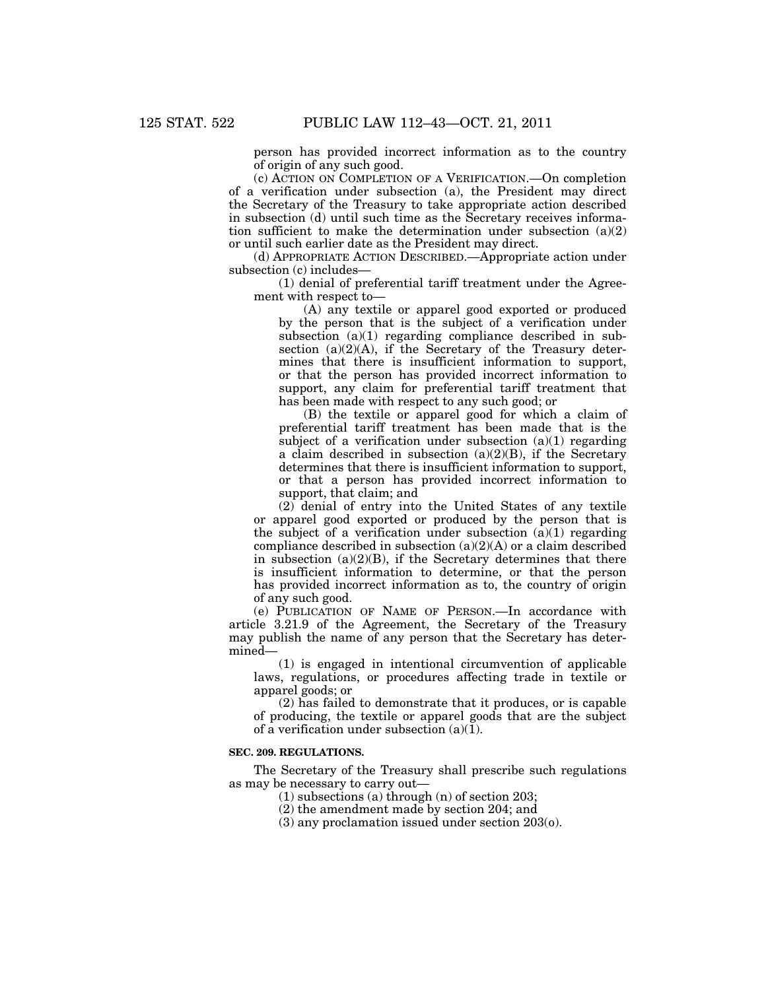person has provided incorrect information as to the country of origin of any such good.

(c) ACTION ON COMPLETION OF A VERIFICATION.—On completion of a verification under subsection (a), the President may direct the Secretary of the Treasury to take appropriate action described in subsection (d) until such time as the Secretary receives information sufficient to make the determination under subsection (a)(2) or until such earlier date as the President may direct.

(d) APPROPRIATE ACTION DESCRIBED.—Appropriate action under subsection (c) includes—

(1) denial of preferential tariff treatment under the Agreement with respect to—

(A) any textile or apparel good exported or produced by the person that is the subject of a verification under subsection (a)(1) regarding compliance described in subsection (a)(2)(A), if the Secretary of the Treasury determines that there is insufficient information to support, or that the person has provided incorrect information to support, any claim for preferential tariff treatment that has been made with respect to any such good; or

(B) the textile or apparel good for which a claim of preferential tariff treatment has been made that is the subject of a verification under subsection  $(a)(1)$  regarding a claim described in subsection  $(a)(2)(B)$ , if the Secretary determines that there is insufficient information to support, or that a person has provided incorrect information to support, that claim; and

(2) denial of entry into the United States of any textile or apparel good exported or produced by the person that is the subject of a verification under subsection  $(a)(1)$  regarding compliance described in subsection  $(a)(2)(A)$  or a claim described in subsection  $(a)(2)(B)$ , if the Secretary determines that there is insufficient information to determine, or that the person has provided incorrect information as to, the country of origin of any such good.

(e) PUBLICATION OF NAME OF PERSON.—In accordance with article 3.21.9 of the Agreement, the Secretary of the Treasury may publish the name of any person that the Secretary has determined—

(1) is engaged in intentional circumvention of applicable laws, regulations, or procedures affecting trade in textile or apparel goods; or

(2) has failed to demonstrate that it produces, or is capable of producing, the textile or apparel goods that are the subject of a verification under subsection  $(a)(1)$ .

#### **SEC. 209. REGULATIONS.**

The Secretary of the Treasury shall prescribe such regulations as may be necessary to carry out—

(1) subsections (a) through (n) of section 203;

(2) the amendment made by section 204; and

(3) any proclamation issued under section 203(o).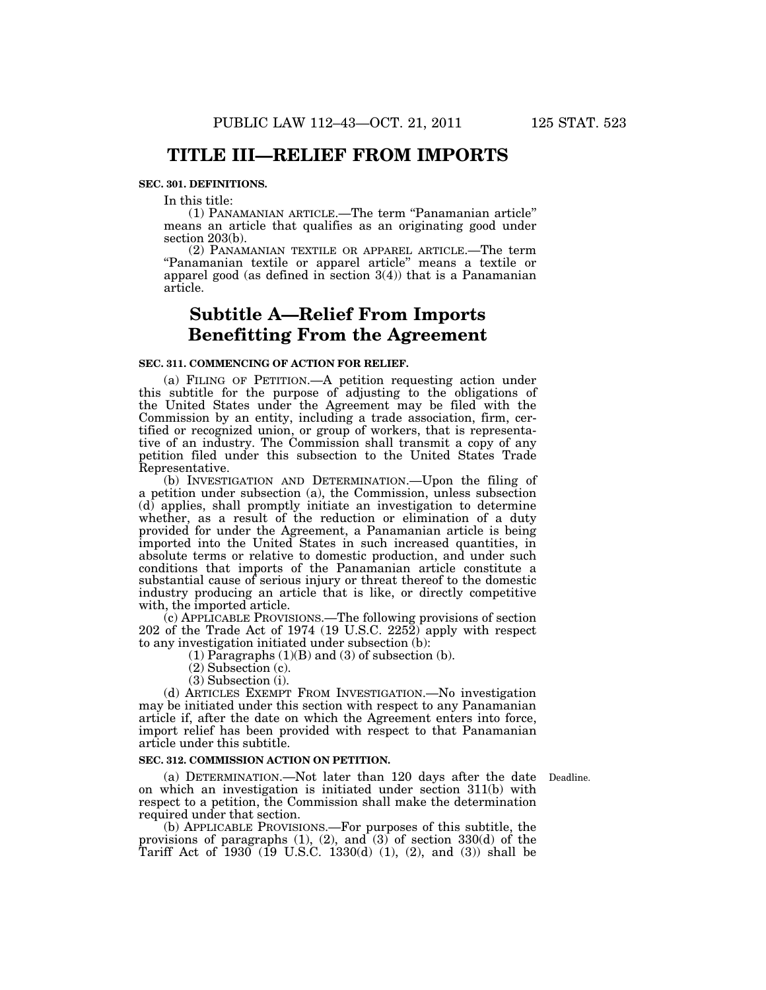### **TITLE III—RELIEF FROM IMPORTS**

#### **SEC. 301. DEFINITIONS.**

In this title:

(1) PANAMANIAN ARTICLE.—The term ''Panamanian article'' means an article that qualifies as an originating good under section 203(b).

(2) PANAMANIAN TEXTILE OR APPAREL ARTICLE.—The term ''Panamanian textile or apparel article'' means a textile or apparel good (as defined in section 3(4)) that is a Panamanian article.

# **Subtitle A—Relief From Imports Benefitting From the Agreement**

#### **SEC. 311. COMMENCING OF ACTION FOR RELIEF.**

(a) FILING OF PETITION.—A petition requesting action under this subtitle for the purpose of adjusting to the obligations of the United States under the Agreement may be filed with the Commission by an entity, including a trade association, firm, certified or recognized union, or group of workers, that is representative of an industry. The Commission shall transmit a copy of any petition filed under this subsection to the United States Trade Representative.

(b) INVESTIGATION AND DETERMINATION.—Upon the filing of a petition under subsection (a), the Commission, unless subsection (d) applies, shall promptly initiate an investigation to determine whether, as a result of the reduction or elimination of a duty provided for under the Agreement, a Panamanian article is being imported into the United States in such increased quantities, in absolute terms or relative to domestic production, and under such conditions that imports of the Panamanian article constitute a substantial cause of serious injury or threat thereof to the domestic industry producing an article that is like, or directly competitive with, the imported article.

(c) APPLICABLE PROVISIONS.—The following provisions of section 202 of the Trade Act of 1974 (19 U.S.C. 2252) apply with respect to any investigation initiated under subsection (b):

 $(1)$  Paragraphs  $(1)(B)$  and  $(3)$  of subsection  $(b)$ .

- (2) Subsection (c).
- (3) Subsection (i).

(d) ARTICLES EXEMPT FROM INVESTIGATION.—No investigation may be initiated under this section with respect to any Panamanian article if, after the date on which the Agreement enters into force, import relief has been provided with respect to that Panamanian article under this subtitle.

#### **SEC. 312. COMMISSION ACTION ON PETITION.**

(a) DETERMINATION.—Not later than 120 days after the date Deadline. on which an investigation is initiated under section 311(b) with respect to a petition, the Commission shall make the determination required under that section.

(b) APPLICABLE PROVISIONS.—For purposes of this subtitle, the provisions of paragraphs (1), (2), and (3) of section 330(d) of the Tariff Act of 1930 (19 U.S.C. 1330(d) (1), (2), and (3)) shall be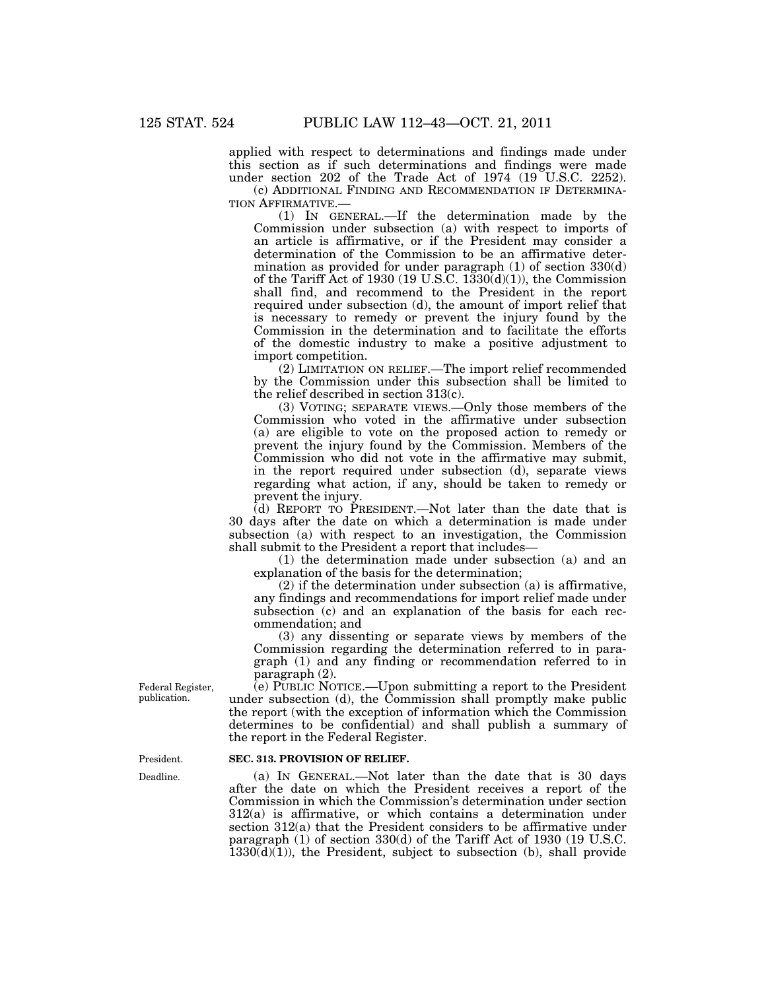applied with respect to determinations and findings made under this section as if such determinations and findings were made under section 202 of the Trade Act of 1974 (19 U.S.C. 2252).

(c) ADDITIONAL FINDING AND RECOMMENDATION IF DETERMINA-TION AFFIRMATIVE.—

(1) IN GENERAL.—If the determination made by the Commission under subsection (a) with respect to imports of an article is affirmative, or if the President may consider a determination of the Commission to be an affirmative determination as provided for under paragraph (1) of section 330(d) of the Tariff Act of 1930 (19 U.S.C.  $1330(d)(1)$ ), the Commission shall find, and recommend to the President in the report required under subsection (d), the amount of import relief that is necessary to remedy or prevent the injury found by the Commission in the determination and to facilitate the efforts of the domestic industry to make a positive adjustment to import competition.

(2) LIMITATION ON RELIEF.—The import relief recommended by the Commission under this subsection shall be limited to the relief described in section 313(c).

(3) VOTING; SEPARATE VIEWS.—Only those members of the Commission who voted in the affirmative under subsection (a) are eligible to vote on the proposed action to remedy or prevent the injury found by the Commission. Members of the Commission who did not vote in the affirmative may submit, in the report required under subsection (d), separate views regarding what action, if any, should be taken to remedy or prevent the injury.

 $(d)$  REPORT TO PRESIDENT.—Not later than the date that is 30 days after the date on which a determination is made under subsection (a) with respect to an investigation, the Commission shall submit to the President a report that includes—

(1) the determination made under subsection (a) and an explanation of the basis for the determination;

(2) if the determination under subsection (a) is affirmative, any findings and recommendations for import relief made under subsection (c) and an explanation of the basis for each recommendation; and

(3) any dissenting or separate views by members of the Commission regarding the determination referred to in paragraph (1) and any finding or recommendation referred to in paragraph (2).

(e) PUBLIC NOTICE.—Upon submitting a report to the President under subsection (d), the Commission shall promptly make public the report (with the exception of information which the Commission determines to be confidential) and shall publish a summary of the report in the Federal Register.

#### **SEC. 313. PROVISION OF RELIEF.**

(a) IN GENERAL.—Not later than the date that is 30 days after the date on which the President receives a report of the Commission in which the Commission's determination under section 312(a) is affirmative, or which contains a determination under section 312(a) that the President considers to be affirmative under paragraph (1) of section 330(d) of the Tariff Act of 1930 (19 U.S.C.  $1330(d)(1)$ , the President, subject to subsection (b), shall provide

Federal Register, publication.

President.

Deadline.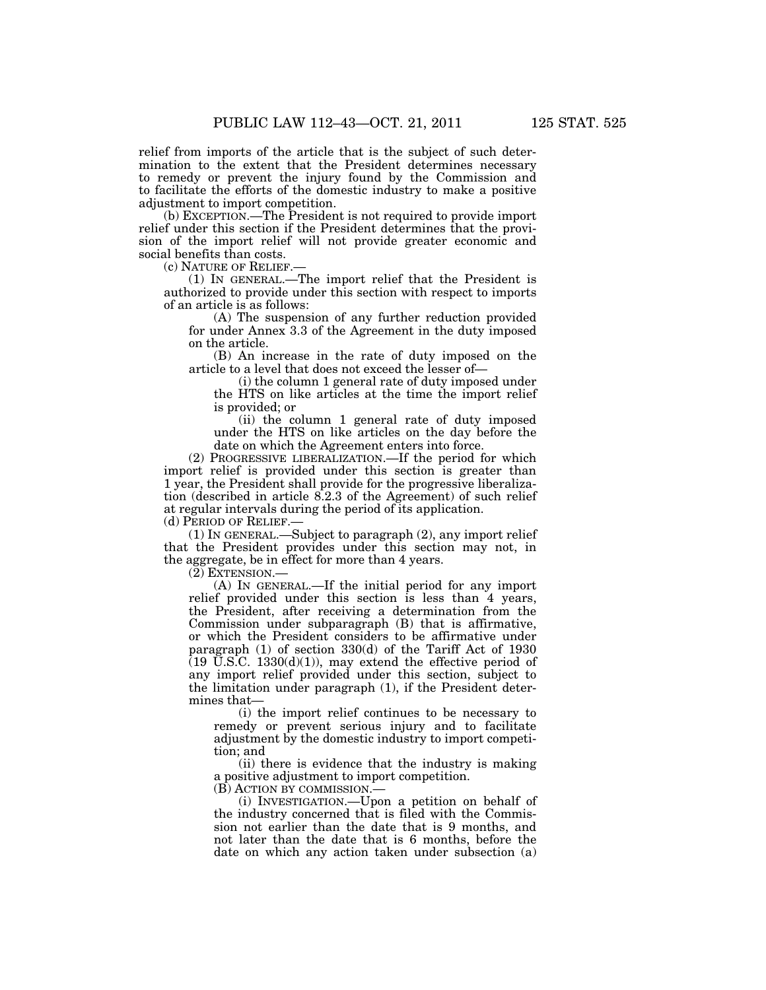relief from imports of the article that is the subject of such determination to the extent that the President determines necessary to remedy or prevent the injury found by the Commission and to facilitate the efforts of the domestic industry to make a positive adjustment to import competition.

(b) EXCEPTION.—The President is not required to provide import relief under this section if the President determines that the provision of the import relief will not provide greater economic and social benefits than costs.

(c) NATURE OF RELIEF.—

(1) IN GENERAL.—The import relief that the President is authorized to provide under this section with respect to imports of an article is as follows:

(A) The suspension of any further reduction provided for under Annex 3.3 of the Agreement in the duty imposed on the article.

(B) An increase in the rate of duty imposed on the article to a level that does not exceed the lesser of—

(i) the column 1 general rate of duty imposed under the HTS on like articles at the time the import relief is provided; or

(ii) the column 1 general rate of duty imposed under the HTS on like articles on the day before the date on which the Agreement enters into force.

(2) PROGRESSIVE LIBERALIZATION.—If the period for which import relief is provided under this section is greater than 1 year, the President shall provide for the progressive liberalization (described in article 8.2.3 of the Agreement) of such relief at regular intervals during the period of its application.

(d) PERIOD OF RELIEF.—

(1) IN GENERAL.—Subject to paragraph (2), any import relief that the President provides under this section may not, in the aggregate, be in effect for more than 4 years.

(2) EXTENSION.—

(A) IN GENERAL.—If the initial period for any import relief provided under this section is less than 4 years, the President, after receiving a determination from the Commission under subparagraph (B) that is affirmative, or which the President considers to be affirmative under paragraph (1) of section 330(d) of the Tariff Act of 1930  $(19 \text{ U.S.C. } 1330(d)(1))$ , may extend the effective period of any import relief provided under this section, subject to the limitation under paragraph (1), if the President determines that—

(i) the import relief continues to be necessary to remedy or prevent serious injury and to facilitate adjustment by the domestic industry to import competition; and

(ii) there is evidence that the industry is making a positive adjustment to import competition.

(B) ACTION BY COMMISSION.—

(i) INVESTIGATION.—Upon a petition on behalf of the industry concerned that is filed with the Commission not earlier than the date that is 9 months, and not later than the date that is 6 months, before the date on which any action taken under subsection (a)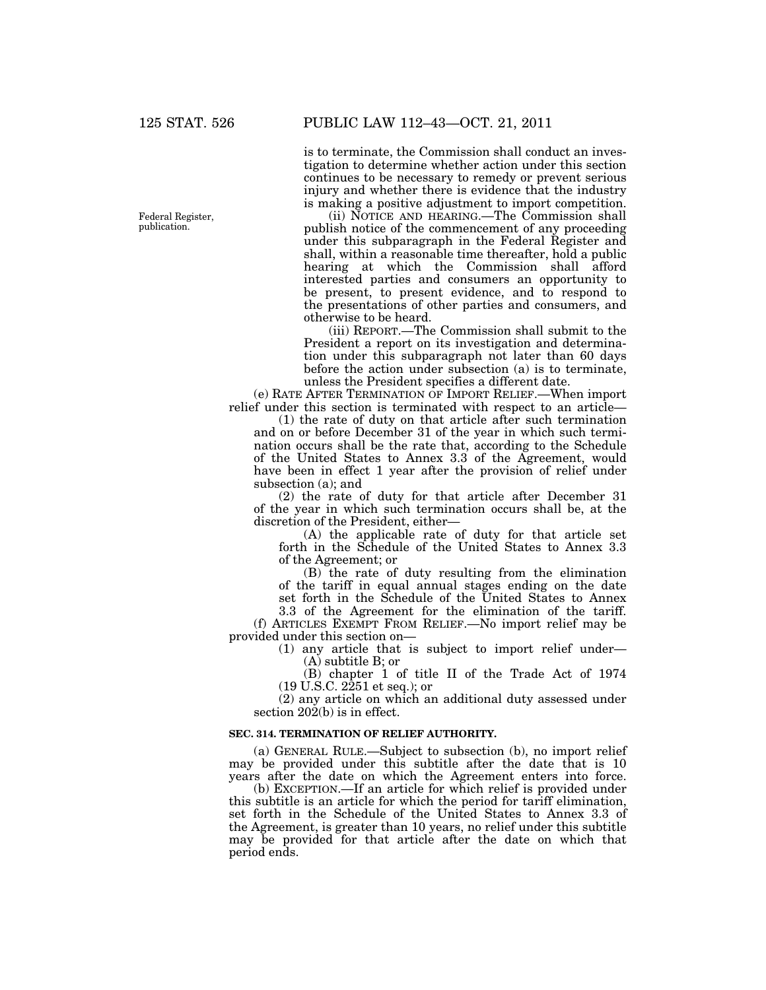Federal Register, publication.

is to terminate, the Commission shall conduct an investigation to determine whether action under this section continues to be necessary to remedy or prevent serious injury and whether there is evidence that the industry is making a positive adjustment to import competition.

(ii) NOTICE AND HEARING.—The Commission shall publish notice of the commencement of any proceeding under this subparagraph in the Federal Register and shall, within a reasonable time thereafter, hold a public hearing at which the Commission shall afford interested parties and consumers an opportunity to be present, to present evidence, and to respond to the presentations of other parties and consumers, and otherwise to be heard.

(iii) REPORT.—The Commission shall submit to the President a report on its investigation and determination under this subparagraph not later than 60 days before the action under subsection (a) is to terminate, unless the President specifies a different date.

(e) RATE AFTER TERMINATION OF IMPORT RELIEF.—When import relief under this section is terminated with respect to an article—

(1) the rate of duty on that article after such termination and on or before December 31 of the year in which such termination occurs shall be the rate that, according to the Schedule of the United States to Annex 3.3 of the Agreement, would have been in effect 1 year after the provision of relief under subsection (a); and

(2) the rate of duty for that article after December 31 of the year in which such termination occurs shall be, at the discretion of the President, either—

(A) the applicable rate of duty for that article set forth in the Schedule of the United States to Annex 3.3 of the Agreement; or

(B) the rate of duty resulting from the elimination of the tariff in equal annual stages ending on the date set forth in the Schedule of the United States to Annex

3.3 of the Agreement for the elimination of the tariff. (f) ARTICLES EXEMPT FROM RELIEF.—No import relief may be provided under this section on—

> (1) any article that is subject to import relief under— (A) subtitle B; or

> (B) chapter 1 of title II of the Trade Act of 1974 (19 U.S.C. 2251 et seq.); or

(2) any article on which an additional duty assessed under section 202(b) is in effect.

### **SEC. 314. TERMINATION OF RELIEF AUTHORITY.**

(a) GENERAL RULE.—Subject to subsection (b), no import relief may be provided under this subtitle after the date that is 10 years after the date on which the Agreement enters into force.

(b) EXCEPTION.—If an article for which relief is provided under this subtitle is an article for which the period for tariff elimination, set forth in the Schedule of the United States to Annex 3.3 of the Agreement, is greater than 10 years, no relief under this subtitle may be provided for that article after the date on which that period ends.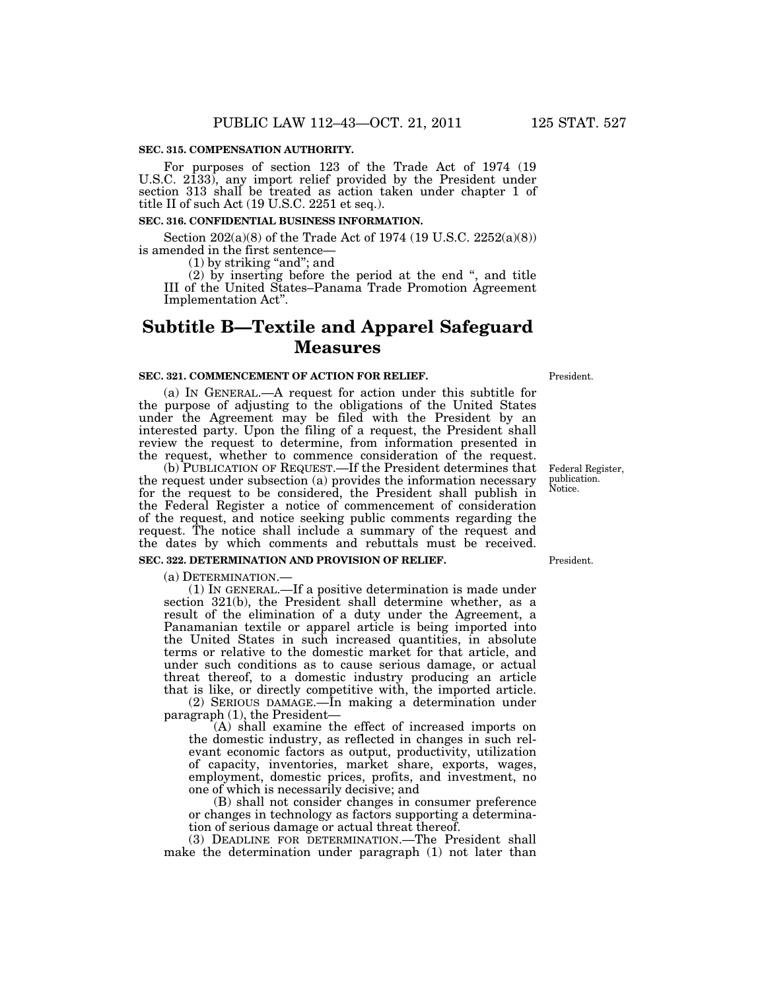#### **SEC. 315. COMPENSATION AUTHORITY.**

For purposes of section 123 of the Trade Act of 1974 (19 U.S.C. 2133), any import relief provided by the President under section 313 shall be treated as action taken under chapter 1 of title II of such Act (19 U.S.C. 2251 et seq.).

#### **SEC. 316. CONFIDENTIAL BUSINESS INFORMATION.**

Section  $202(a)(8)$  of the Trade Act of 1974 (19 U.S.C. 2252(a)(8)) is amended in the first sentence—

 $(1)$  by striking "and"; and

(2) by inserting before the period at the end '', and title III of the United States–Panama Trade Promotion Agreement Implementation Act''.

# **Subtitle B—Textile and Apparel Safeguard Measures**

#### **SEC. 321. COMMENCEMENT OF ACTION FOR RELIEF.**

(a) IN GENERAL.—A request for action under this subtitle for the purpose of adjusting to the obligations of the United States under the Agreement may be filed with the President by an interested party. Upon the filing of a request, the President shall review the request to determine, from information presented in the request, whether to commence consideration of the request.

(b) PUBLICATION OF REQUEST.—If the President determines that the request under subsection (a) provides the information necessary for the request to be considered, the President shall publish in the Federal Register a notice of commencement of consideration of the request, and notice seeking public comments regarding the request. The notice shall include a summary of the request and the dates by which comments and rebuttals must be received. **SEC. 322. DETERMINATION AND PROVISION OF RELIEF.** 

(a) DETERMINATION.— (1) IN GENERAL.—If a positive determination is made under section 321(b), the President shall determine whether, as a result of the elimination of a duty under the Agreement, a Panamanian textile or apparel article is being imported into the United States in such increased quantities, in absolute terms or relative to the domestic market for that article, and under such conditions as to cause serious damage, or actual threat thereof, to a domestic industry producing an article that is like, or directly competitive with, the imported article.

(2) SERIOUS DAMAGE.—In making a determination under paragraph (1), the President—

(A) shall examine the effect of increased imports on the domestic industry, as reflected in changes in such relevant economic factors as output, productivity, utilization of capacity, inventories, market share, exports, wages, employment, domestic prices, profits, and investment, no one of which is necessarily decisive; and

(B) shall not consider changes in consumer preference or changes in technology as factors supporting a determination of serious damage or actual threat thereof.

(3) DEADLINE FOR DETERMINATION.—The President shall make the determination under paragraph (1) not later than

President.

President.

Federal Register, publication. Notice.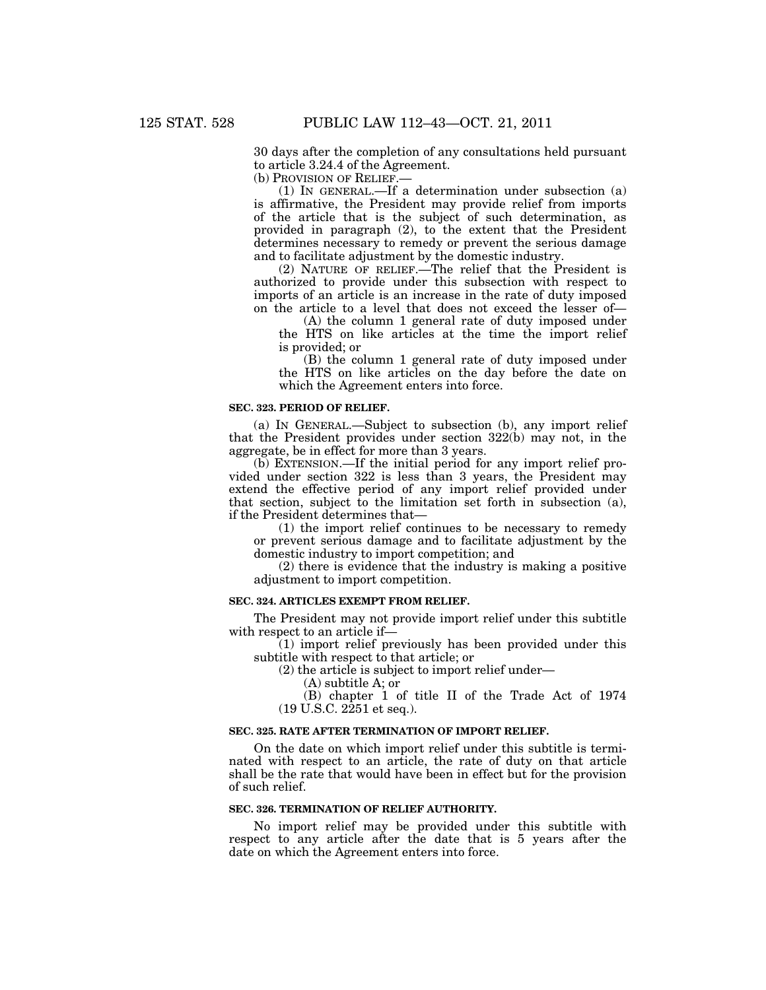30 days after the completion of any consultations held pursuant to article 3.24.4 of the Agreement.

(b) PROVISION OF RELIEF.—

(1) IN GENERAL.—If a determination under subsection (a) is affirmative, the President may provide relief from imports of the article that is the subject of such determination, as provided in paragraph (2), to the extent that the President determines necessary to remedy or prevent the serious damage and to facilitate adjustment by the domestic industry.

(2) NATURE OF RELIEF.—The relief that the President is authorized to provide under this subsection with respect to imports of an article is an increase in the rate of duty imposed on the article to a level that does not exceed the lesser of—

(A) the column 1 general rate of duty imposed under the HTS on like articles at the time the import relief is provided; or

(B) the column 1 general rate of duty imposed under the HTS on like articles on the day before the date on which the Agreement enters into force.

#### **SEC. 323. PERIOD OF RELIEF.**

(a) IN GENERAL.—Subject to subsection (b), any import relief that the President provides under section 322(b) may not, in the aggregate, be in effect for more than 3 years.

(b) EXTENSION.—If the initial period for any import relief provided under section 322 is less than 3 years, the President may extend the effective period of any import relief provided under that section, subject to the limitation set forth in subsection (a), if the President determines that—

(1) the import relief continues to be necessary to remedy or prevent serious damage and to facilitate adjustment by the domestic industry to import competition; and

(2) there is evidence that the industry is making a positive adjustment to import competition.

#### **SEC. 324. ARTICLES EXEMPT FROM RELIEF.**

The President may not provide import relief under this subtitle with respect to an article if—

(1) import relief previously has been provided under this subtitle with respect to that article; or

(2) the article is subject to import relief under—

(A) subtitle A; or

(B) chapter 1 of title II of the Trade Act of 1974 (19 U.S.C. 2251 et seq.).

#### **SEC. 325. RATE AFTER TERMINATION OF IMPORT RELIEF.**

On the date on which import relief under this subtitle is terminated with respect to an article, the rate of duty on that article shall be the rate that would have been in effect but for the provision of such relief.

#### **SEC. 326. TERMINATION OF RELIEF AUTHORITY.**

No import relief may be provided under this subtitle with respect to any article after the date that is 5 years after the date on which the Agreement enters into force.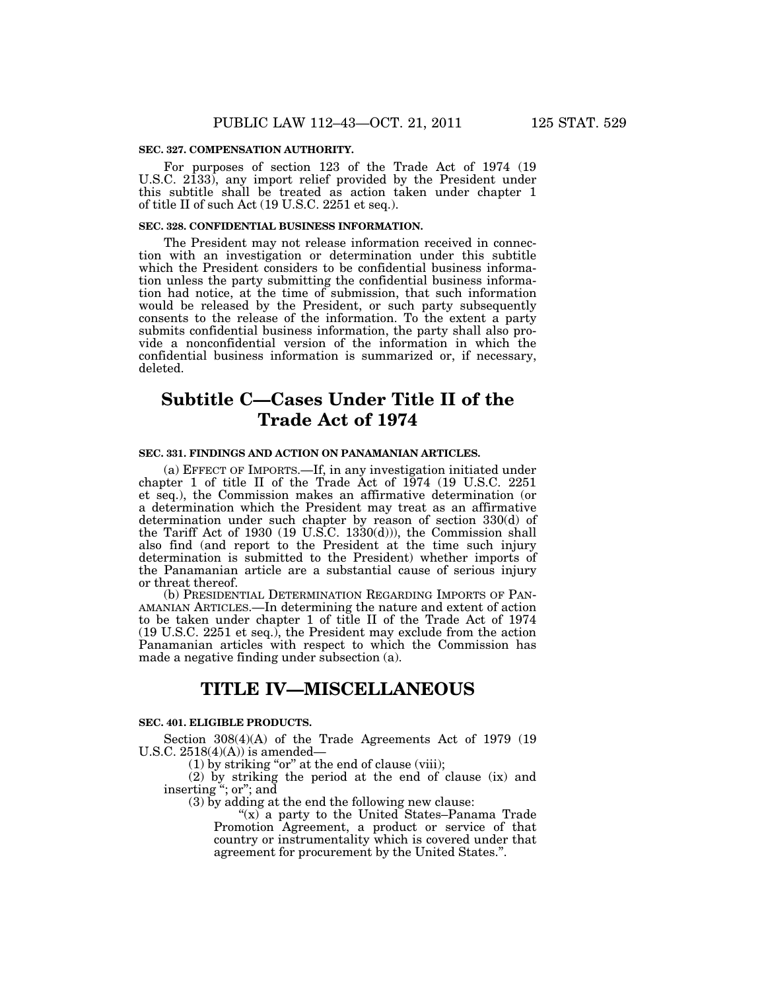#### **SEC. 327. COMPENSATION AUTHORITY.**

For purposes of section 123 of the Trade Act of 1974 (19 U.S.C. 2133), any import relief provided by the President under this subtitle shall be treated as action taken under chapter 1 of title II of such Act (19 U.S.C. 2251 et seq.).

#### **SEC. 328. CONFIDENTIAL BUSINESS INFORMATION.**

The President may not release information received in connection with an investigation or determination under this subtitle which the President considers to be confidential business information unless the party submitting the confidential business information had notice, at the time of submission, that such information would be released by the President, or such party subsequently consents to the release of the information. To the extent a party submits confidential business information, the party shall also provide a nonconfidential version of the information in which the confidential business information is summarized or, if necessary, deleted.

# **Subtitle C—Cases Under Title II of the Trade Act of 1974**

#### **SEC. 331. FINDINGS AND ACTION ON PANAMANIAN ARTICLES.**

(a) EFFECT OF IMPORTS.—If, in any investigation initiated under chapter 1 of title II of the Trade Act of 1974 (19 U.S.C. 2251 et seq.), the Commission makes an affirmative determination (or a determination which the President may treat as an affirmative determination under such chapter by reason of section 330(d) of the Tariff Act of 1930 (19 U.S.C. 1330(d))), the Commission shall also find (and report to the President at the time such injury determination is submitted to the President) whether imports of the Panamanian article are a substantial cause of serious injury or threat thereof.

(b) PRESIDENTIAL DETERMINATION REGARDING IMPORTS OF PAN-AMANIAN ARTICLES.—In determining the nature and extent of action to be taken under chapter 1 of title II of the Trade Act of 1974 (19 U.S.C. 2251 et seq.), the President may exclude from the action Panamanian articles with respect to which the Commission has made a negative finding under subsection (a).

# **TITLE IV—MISCELLANEOUS**

#### **SEC. 401. ELIGIBLE PRODUCTS.**

Section 308(4)(A) of the Trade Agreements Act of 1979 (19 U.S.C.  $2518(4)(A)$  is amended–

 $(1)$  by striking "or" at the end of clause (viii);

(2) by striking the period at the end of clause (ix) and inserting ''; or''; and

(3) by adding at the end the following new clause:

" $(x)$  a party to the United States–Panama Trade" Promotion Agreement, a product or service of that country or instrumentality which is covered under that agreement for procurement by the United States.''.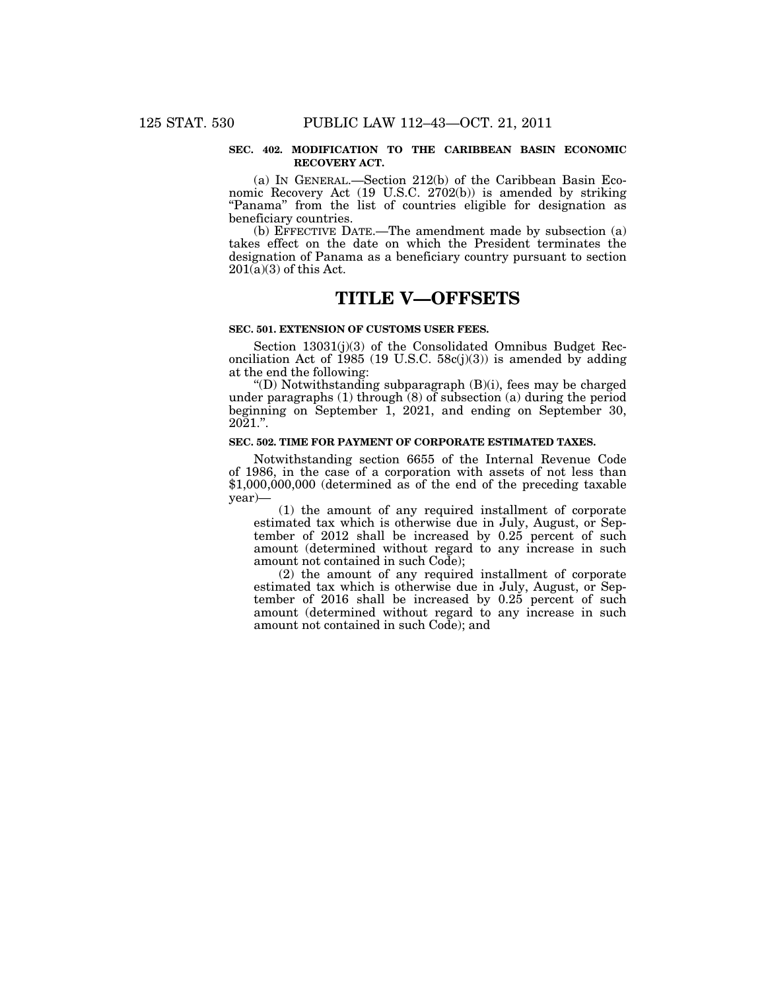#### **SEC. 402. MODIFICATION TO THE CARIBBEAN BASIN ECONOMIC RECOVERY ACT.**

(a) IN GENERAL.—Section 212(b) of the Caribbean Basin Economic Recovery Act (19 U.S.C. 2702(b)) is amended by striking "Panama" from the list of countries eligible for designation as beneficiary countries.

(b) EFFECTIVE DATE.—The amendment made by subsection (a) takes effect on the date on which the President terminates the designation of Panama as a beneficiary country pursuant to section  $201(a)(3)$  of this Act.

# **TITLE V—OFFSETS**

#### **SEC. 501. EXTENSION OF CUSTOMS USER FEES.**

Section 13031(j)(3) of the Consolidated Omnibus Budget Reconciliation Act of 1985 (19 U.S.C.  $58c(j)(3)$ ) is amended by adding at the end the following:

"(D) Notwithstanding subparagraph  $(B)(i)$ , fees may be charged under paragraphs (1) through (8) of subsection (a) during the period beginning on September 1, 2021, and ending on September 30, 2021.''.

#### **SEC. 502. TIME FOR PAYMENT OF CORPORATE ESTIMATED TAXES.**

Notwithstanding section 6655 of the Internal Revenue Code of 1986, in the case of a corporation with assets of not less than \$1,000,000,000 (determined as of the end of the preceding taxable year)—

(1) the amount of any required installment of corporate estimated tax which is otherwise due in July, August, or September of 2012 shall be increased by 0.25 percent of such amount (determined without regard to any increase in such amount not contained in such Code);

(2) the amount of any required installment of corporate estimated tax which is otherwise due in July, August, or September of 2016 shall be increased by 0.25 percent of such amount (determined without regard to any increase in such amount not contained in such Code); and